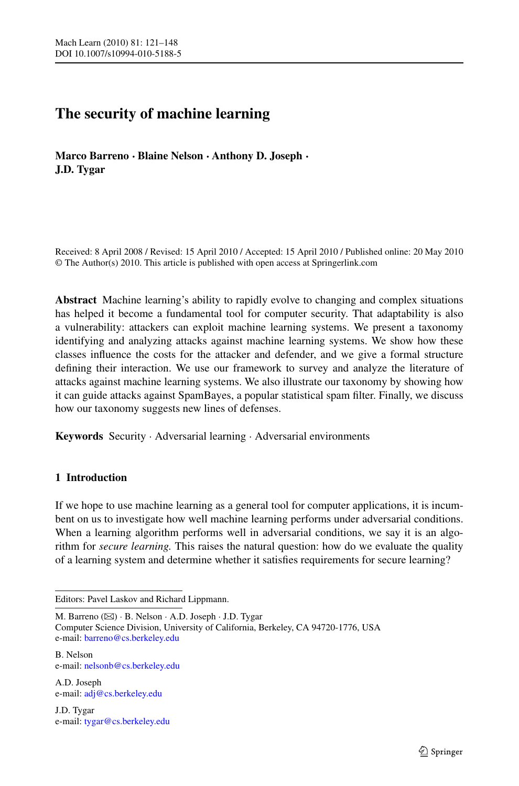# **The security of machine learning**

**Marco Barreno · Blaine Nelson · Anthony D. Joseph · J.D. Tygar**

Received: 8 April 2008 / Revised: 15 April 2010 / Accepted: 15 April 2010 / Published online: 20 May 2010 © The Author(s) 2010. This article is published with open access at Springerlink.com

**Abstract** Machine learning's ability to rapidly evolve to changing and complex situations has helped it become a fundamental tool for computer security. That adaptability is also a vulnerability: attackers can exploit machine learning systems. We present a taxonomy identifying and analyzing attacks against machine learning systems. We show how these classes influence the costs for the attacker and defender, and we give a formal structure defining their interaction. We use our framework to survey and analyze the literature of attacks against machine learning systems. We also illustrate our taxonomy by showing how it can guide attacks against SpamBayes, a popular statistical spam filter. Finally, we discuss how our taxonomy suggests new lines of defenses.

**Keywords** Security · Adversarial learning · Adversarial environments

# **1 Introduction**

If we hope to use machine learning as a general tool for computer applications, it is incumbent on us to investigate how well machine learning performs under adversarial conditions. When a learning algorithm performs well in adversarial conditions, we say it is an algorithm for *secure learning.* This raises the natural question: how do we evaluate the quality of a learning system and determine whether it satisfies requirements for secure learning?

B. Nelson e-mail: [nelsonb@cs.berkeley.edu](mailto:nelsonb@cs.berkeley.edu)

A.D. Joseph e-mail: [adj@cs.berkeley.edu](mailto:adj@cs.berkeley.edu)

J.D. Tygar e-mail: [tygar@cs.berkeley.edu](mailto:tygar@cs.berkeley.edu)

Editors: Pavel Laskov and Richard Lippmann.

M. Barreno ( $\boxtimes$ ) · B. Nelson · A.D. Joseph · J.D. Tygar Computer Science Division, University of California, Berkeley, CA 94720-1776, USA e-mail: [barreno@cs.berkeley.edu](mailto:barreno@cs.berkeley.edu)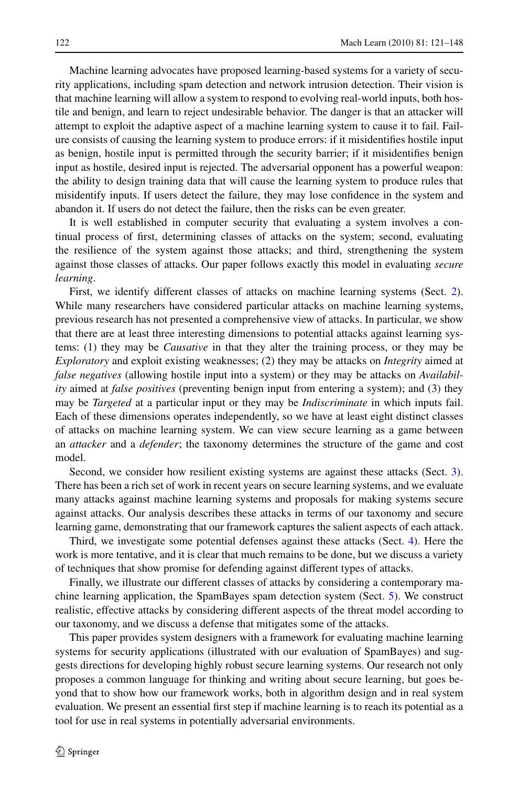Machine learning advocates have proposed learning-based systems for a variety of security applications, including spam detection and network intrusion detection. Their vision is that machine learning will allow a system to respond to evolving real-world inputs, both hostile and benign, and learn to reject undesirable behavior. The danger is that an attacker will attempt to exploit the adaptive aspect of a machine learning system to cause it to fail. Failure consists of causing the learning system to produce errors: if it misidentifies hostile input as benign, hostile input is permitted through the security barrier; if it misidentifies benign input as hostile, desired input is rejected. The adversarial opponent has a powerful weapon: the ability to design training data that will cause the learning system to produce rules that misidentify inputs. If users detect the failure, they may lose confidence in the system and abandon it. If users do not detect the failure, then the risks can be even greater.

It is well established in computer security that evaluating a system involves a continual process of first, determining classes of attacks on the system; second, evaluating the resilience of the system against those attacks; and third, strengthening the system against those classes of attacks. Our paper follows exactly this model in evaluating *secure learning*.

First, we identify different classes of attacks on machine learning systems (Sect. [2](#page-3-0)). While many researchers have considered particular attacks on machine learning systems, previous research has not presented a comprehensive view of attacks. In particular, we show that there are at least three interesting dimensions to potential attacks against learning systems: (1) they may be *Causative* in that they alter the training process, or they may be *Exploratory* and exploit existing weaknesses; (2) they may be attacks on *Integrity* aimed at *false negatives* (allowing hostile input into a system) or they may be attacks on *Availability* aimed at *false positives* (preventing benign input from entering a system); and (3) they may be *Targeted* at a particular input or they may be *Indiscriminate* in which inputs fail. Each of these dimensions operates independently, so we have at least eight distinct classes of attacks on machine learning system. We can view secure learning as a game between an *attacker* and a *defender*; the taxonomy determines the structure of the game and cost model.

Second, we consider how resilient existing systems are against these attacks (Sect. [3](#page-9-0)). There has been a rich set of work in recent years on secure learning systems, and we evaluate many attacks against machine learning systems and proposals for making systems secure against attacks. Our analysis describes these attacks in terms of our taxonomy and secure learning game, demonstrating that our framework captures the salient aspects of each attack.

Third, we investigate some potential defenses against these attacks (Sect. [4\)](#page-12-0). Here the work is more tentative, and it is clear that much remains to be done, but we discuss a variety of techniques that show promise for defending against different types of attacks.

Finally, we illustrate our different classes of attacks by considering a contemporary machine learning application, the SpamBayes spam detection system (Sect. [5\)](#page-18-0). We construct realistic, effective attacks by considering different aspects of the threat model according to our taxonomy, and we discuss a defense that mitigates some of the attacks.

This paper provides system designers with a framework for evaluating machine learning systems for security applications (illustrated with our evaluation of SpamBayes) and suggests directions for developing highly robust secure learning systems. Our research not only proposes a common language for thinking and writing about secure learning, but goes beyond that to show how our framework works, both in algorithm design and in real system evaluation. We present an essential first step if machine learning is to reach its potential as a tool for use in real systems in potentially adversarial environments.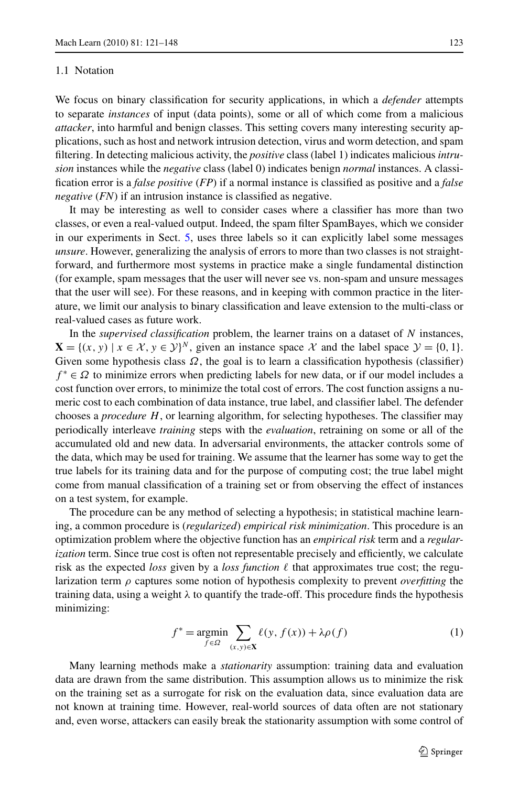#### 1.1 Notation

We focus on binary classification for security applications, in which a *defender* attempts to separate *instances* of input (data points), some or all of which come from a malicious *attacker*, into harmful and benign classes. This setting covers many interesting security applications, such as host and network intrusion detection, virus and worm detection, and spam filtering. In detecting malicious activity, the *positive* class (label 1) indicates malicious *intrusion* instances while the *negative* class (label 0) indicates benign *normal* instances. A classification error is a *false positive* (*FP*) if a normal instance is classified as positive and a *false negative* (*FN*) if an intrusion instance is classified as negative.

It may be interesting as well to consider cases where a classifier has more than two classes, or even a real-valued output. Indeed, the spam filter SpamBayes, which we consider in our experiments in Sect. [5](#page-18-0), uses three labels so it can explicitly label some messages *unsure*. However, generalizing the analysis of errors to more than two classes is not straightforward, and furthermore most systems in practice make a single fundamental distinction (for example, spam messages that the user will never see vs. non-spam and unsure messages that the user will see). For these reasons, and in keeping with common practice in the literature, we limit our analysis to binary classification and leave extension to the multi-class or real-valued cases as future work.

In the *supervised classification* problem, the learner trains on a dataset of *N* instances,  $\mathbf{X} = \{ (x, y) \mid x \in \mathcal{X}, y \in \mathcal{Y} \}^{N}$ , given an instance space X and the label space  $\mathcal{Y} = \{0, 1\}.$ Given some hypothesis class *Ω*, the goal is to learn a classification hypothesis (classifier)  $f^* \in \Omega$  to minimize errors when predicting labels for new data, or if our model includes a cost function over errors, to minimize the total cost of errors. The cost function assigns a numeric cost to each combination of data instance, true label, and classifier label. The defender chooses a *procedure H*, or learning algorithm, for selecting hypotheses. The classifier may periodically interleave *training* steps with the *evaluation*, retraining on some or all of the accumulated old and new data. In adversarial environments, the attacker controls some of the data, which may be used for training. We assume that the learner has some way to get the true labels for its training data and for the purpose of computing cost; the true label might come from manual classification of a training set or from observing the effect of instances on a test system, for example.

The procedure can be any method of selecting a hypothesis; in statistical machine learning, a common procedure is (*regularized*) *empirical risk minimization*. This procedure is an optimization problem where the objective function has an *empirical risk* term and a *regularization* term. Since true cost is often not representable precisely and efficiently, we calculate risk as the expected *loss* given by a *loss function*  $\ell$  that approximates true cost; the regularization term *ρ* captures some notion of hypothesis complexity to prevent *overfitting* the training data, using a weight *λ* to quantify the trade-off. This procedure finds the hypothesis minimizing:

<span id="page-2-0"></span>
$$
f^* = \underset{f \in \Omega}{\text{argmin}} \sum_{(x,y) \in \mathbf{X}} \ell(y, f(x)) + \lambda \rho(f) \tag{1}
$$

Many learning methods make a *stationarity* assumption: training data and evaluation data are drawn from the same distribution. This assumption allows us to minimize the risk on the training set as a surrogate for risk on the evaluation data, since evaluation data are not known at training time. However, real-world sources of data often are not stationary and, even worse, attackers can easily break the stationarity assumption with some control of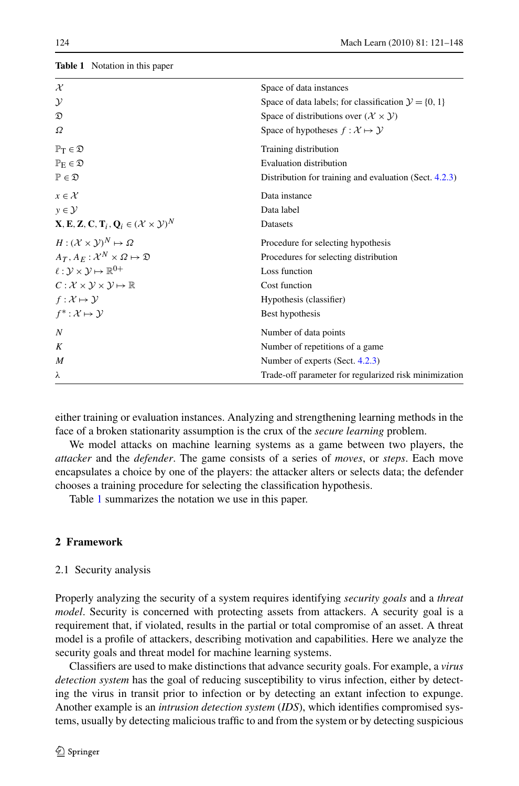<span id="page-3-1"></span>

| $\mathcal{X}$                                                                                                                        | Space of data instances                                           |
|--------------------------------------------------------------------------------------------------------------------------------------|-------------------------------------------------------------------|
| $\mathcal Y$                                                                                                                         | Space of data labels; for classification $\mathcal{Y} = \{0, 1\}$ |
| $\mathfrak{D}$                                                                                                                       | Space of distributions over $(\mathcal{X} \times \mathcal{Y})$    |
| Ω                                                                                                                                    | Space of hypotheses $f : \mathcal{X} \mapsto \mathcal{Y}$         |
| $\mathbb{P}_{T} \in \mathfrak{D}$                                                                                                    | Training distribution                                             |
| $\mathbb{P}_{E} \in \mathfrak{D}$                                                                                                    | <b>Evaluation distribution</b>                                    |
| $\mathbb{P} \in \mathfrak{D}$                                                                                                        | Distribution for training and evaluation (Sect. 4.2.3)            |
| $x \in \mathcal{X}$                                                                                                                  | Data instance                                                     |
| $y \in \mathcal{Y}$                                                                                                                  | Data label                                                        |
| <b>X</b> , <b>E</b> , <b>Z</b> , <b>C</b> , <b>T</b> <sub>i</sub> , <b>O</b> <sub>i</sub> $\in$ $(\mathcal{X} \times \mathcal{Y})^N$ | Datasets                                                          |
|                                                                                                                                      |                                                                   |
| $H: (\mathcal{X} \times \mathcal{Y})^N \mapsto \Omega$                                                                               | Procedure for selecting hypothesis                                |
| $A_T, A_F: \mathcal{X}^N \times \Omega \mapsto \mathfrak{D}$                                                                         | Procedures for selecting distribution                             |
| $\ell: \mathcal{Y} \times \mathcal{Y} \mapsto \mathbb{R}^{0+}$                                                                       | Loss function                                                     |
| $C: \mathcal{X} \times \mathcal{Y} \times \mathcal{Y} \mapsto \mathbb{R}$                                                            | Cost function                                                     |
| $f: \mathcal{X} \mapsto \mathcal{Y}$                                                                                                 | Hypothesis (classifier)                                           |
| $f^*: \mathcal{X} \mapsto \mathcal{Y}$                                                                                               | Best hypothesis                                                   |
| N                                                                                                                                    | Number of data points                                             |
| K                                                                                                                                    | Number of repetitions of a game                                   |
| $\boldsymbol{M}$                                                                                                                     | Number of experts (Sect. 4.2.3)                                   |

either training or evaluation instances. Analyzing and strengthening learning methods in the face of a broken stationarity assumption is the crux of the *secure learning* problem.

<span id="page-3-0"></span>We model attacks on machine learning systems as a game between two players, the *attacker* and the *defender*. The game consists of a series of *moves*, or *steps*. Each move encapsulates a choice by one of the players: the attacker alters or selects data; the defender chooses a training procedure for selecting the classification hypothesis.

Table [1](#page-3-1) summarizes the notation we use in this paper.

#### **2 Framework**

# 2.1 Security analysis

Properly analyzing the security of a system requires identifying *security goals* and a *threat model*. Security is concerned with protecting assets from attackers. A security goal is a requirement that, if violated, results in the partial or total compromise of an asset. A threat model is a profile of attackers, describing motivation and capabilities. Here we analyze the security goals and threat model for machine learning systems.

Classifiers are used to make distinctions that advance security goals. For example, a *virus detection system* has the goal of reducing susceptibility to virus infection, either by detecting the virus in transit prior to infection or by detecting an extant infection to expunge. Another example is an *intrusion detection system* (*IDS*), which identifies compromised systems, usually by detecting malicious traffic to and from the system or by detecting suspicious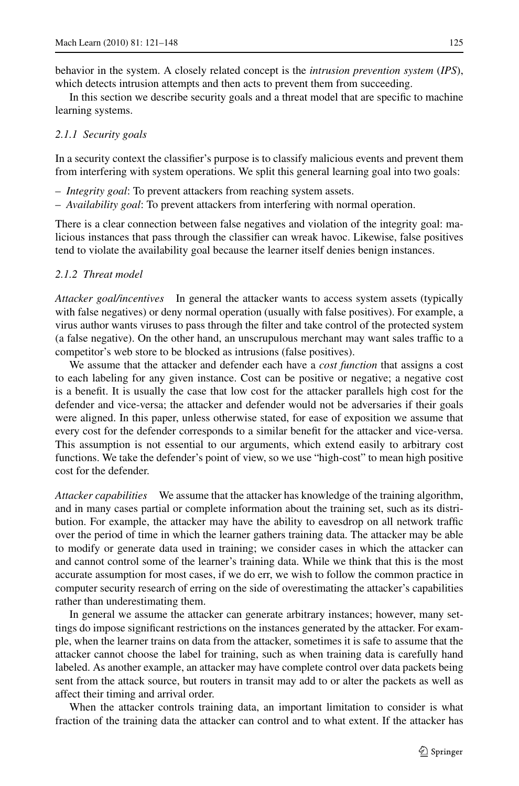In this section we describe security goals and a threat model that are specific to machine learning systems.

# *2.1.1 Security goals*

In a security context the classifier's purpose is to classify malicious events and prevent them from interfering with system operations. We split this general learning goal into two goals:

- *Integrity goal*: To prevent attackers from reaching system assets.
- *Availability goal*: To prevent attackers from interfering with normal operation.

There is a clear connection between false negatives and violation of the integrity goal: malicious instances that pass through the classifier can wreak havoc. Likewise, false positives tend to violate the availability goal because the learner itself denies benign instances.

# *2.1.2 Threat model*

*Attacker goal/incentives* In general the attacker wants to access system assets (typically with false negatives) or deny normal operation (usually with false positives). For example, a virus author wants viruses to pass through the filter and take control of the protected system (a false negative). On the other hand, an unscrupulous merchant may want sales traffic to a competitor's web store to be blocked as intrusions (false positives).

We assume that the attacker and defender each have a *cost function* that assigns a cost to each labeling for any given instance. Cost can be positive or negative; a negative cost is a benefit. It is usually the case that low cost for the attacker parallels high cost for the defender and vice-versa; the attacker and defender would not be adversaries if their goals were aligned. In this paper, unless otherwise stated, for ease of exposition we assume that every cost for the defender corresponds to a similar benefit for the attacker and vice-versa. This assumption is not essential to our arguments, which extend easily to arbitrary cost functions. We take the defender's point of view, so we use "high-cost" to mean high positive cost for the defender.

*Attacker capabilities* We assume that the attacker has knowledge of the training algorithm, and in many cases partial or complete information about the training set, such as its distribution. For example, the attacker may have the ability to eavesdrop on all network traffic over the period of time in which the learner gathers training data. The attacker may be able to modify or generate data used in training; we consider cases in which the attacker can and cannot control some of the learner's training data. While we think that this is the most accurate assumption for most cases, if we do err, we wish to follow the common practice in computer security research of erring on the side of overestimating the attacker's capabilities rather than underestimating them.

In general we assume the attacker can generate arbitrary instances; however, many settings do impose significant restrictions on the instances generated by the attacker. For example, when the learner trains on data from the attacker, sometimes it is safe to assume that the attacker cannot choose the label for training, such as when training data is carefully hand labeled. As another example, an attacker may have complete control over data packets being sent from the attack source, but routers in transit may add to or alter the packets as well as affect their timing and arrival order.

When the attacker controls training data, an important limitation to consider is what fraction of the training data the attacker can control and to what extent. If the attacker has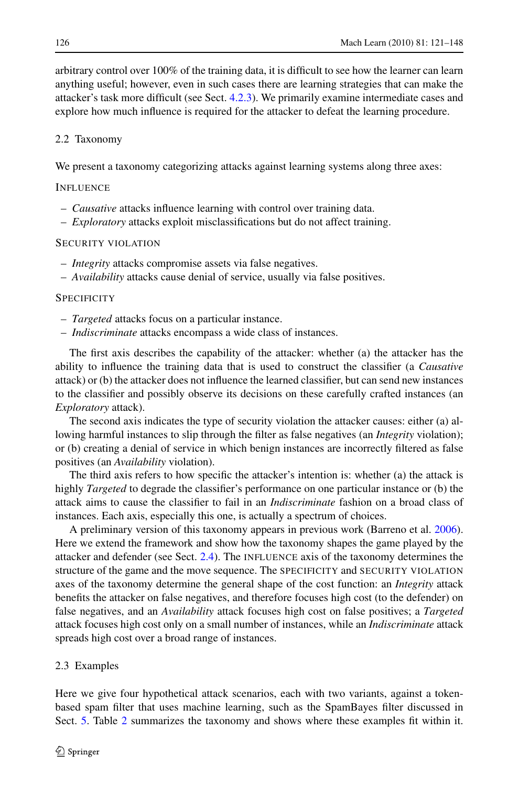arbitrary control over 100% of the training data, it is difficult to see how the learner can learn anything useful; however, even in such cases there are learning strategies that can make the attacker's task more difficult (see Sect. [4.2.3](#page-16-0)). We primarily examine intermediate cases and explore how much influence is required for the attacker to defeat the learning procedure.

# 2.2 Taxonomy

We present a taxonomy categorizing attacks against learning systems along three axes:

# **INFLUENCE**

- *Causative* attacks influence learning with control over training data.
- *Exploratory* attacks exploit misclassifications but do not affect training.

#### SECURITY VIOLATION

- *Integrity* attacks compromise assets via false negatives.
- *Availability* attacks cause denial of service, usually via false positives.

# **SPECIFICITY**

- *Targeted* attacks focus on a particular instance.
- *Indiscriminate* attacks encompass a wide class of instances.

The first axis describes the capability of the attacker: whether (a) the attacker has the ability to influence the training data that is used to construct the classifier (a *Causative* attack) or (b) the attacker does not influence the learned classifier, but can send new instances to the classifier and possibly observe its decisions on these carefully crafted instances (an *Exploratory* attack).

The second axis indicates the type of security violation the attacker causes: either (a) allowing harmful instances to slip through the filter as false negatives (an *Integrity* violation); or (b) creating a denial of service in which benign instances are incorrectly filtered as false positives (an *Availability* violation).

The third axis refers to how specific the attacker's intention is: whether (a) the attack is highly *Targeted* to degrade the classifier's performance on one particular instance or (b) the attack aims to cause the classifier to fail in an *Indiscriminate* fashion on a broad class of instances. Each axis, especially this one, is actually a spectrum of choices.

<span id="page-5-0"></span>A preliminary version of this taxonomy appears in previous work (Barreno et al. [2006](#page-25-0)). Here we extend the framework and show how the taxonomy shapes the game played by the attacker and defender (see Sect. [2.4](#page-8-0)). The INFLUENCE axis of the taxonomy determines the structure of the game and the move sequence. The SPECIFICITY and SECURITY VIOLATION axes of the taxonomy determine the general shape of the cost function: an *Integrity* attack benefits the attacker on false negatives, and therefore focuses high cost (to the defender) on false negatives, and an *Availability* attack focuses high cost on false positives; a *Targeted* attack focuses high cost only on a small number of instances, while an *Indiscriminate* attack spreads high cost over a broad range of instances.

# 2.3 Examples

Here we give four hypothetical attack scenarios, each with two variants, against a tokenbased spam filter that uses machine learning, such as the SpamBayes filter discussed in Sect. [5](#page-18-0). Table [2](#page-6-0) summarizes the taxonomy and shows where these examples fit within it.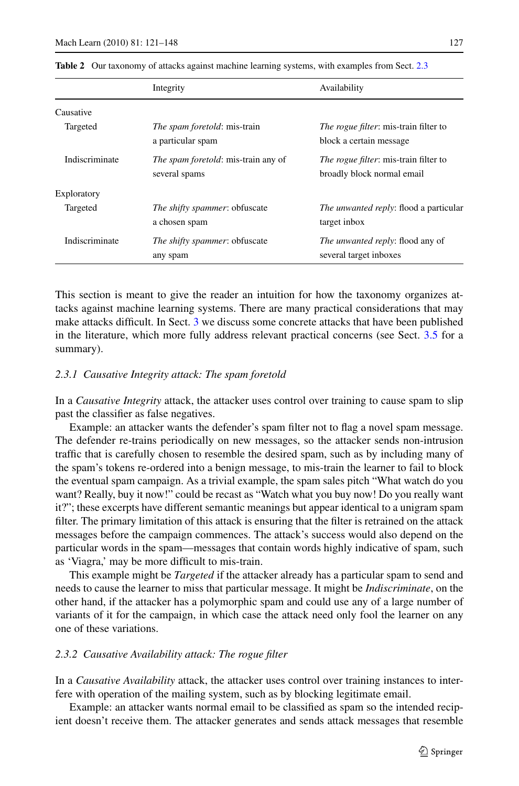|                | Integrity                                                | Availability                                                               |
|----------------|----------------------------------------------------------|----------------------------------------------------------------------------|
| Causative      |                                                          |                                                                            |
| Targeted       | <i>The spam foretold:</i> mis-train<br>a particular spam | <i>The rogue filter:</i> mis-train filter to<br>block a certain message    |
| Indiscriminate | The spam foretold: mis-train any of<br>several spams     | <i>The rogue filter:</i> mis-train filter to<br>broadly block normal email |
| Exploratory    |                                                          |                                                                            |
| Targeted       | <i>The shifty spammer: obfuscate</i><br>a chosen spam    | <i>The unwanted reply:</i> flood a particular<br>target inbox              |
| Indiscriminate | The shifty spammer: obfuscate<br>any spam                | <i>The unwanted reply: flood any of</i><br>several target inboxes          |

<span id="page-6-0"></span>**Table 2** Our taxonomy of attacks against machine learning systems, with examples from Sect. [2.3](#page-5-0)

This section is meant to give the reader an intuition for how the taxonomy organizes attacks against machine learning systems. There are many practical considerations that may make attacks difficult. In Sect. [3](#page-9-0) we discuss some concrete attacks that have been published in the literature, which more fully address relevant practical concerns (see Sect. [3.5](#page-12-1) for a summary).

# *2.3.1 Causative Integrity attack: The spam foretold*

In a *Causative Integrity* attack, the attacker uses control over training to cause spam to slip past the classifier as false negatives.

Example: an attacker wants the defender's spam filter not to flag a novel spam message. The defender re-trains periodically on new messages, so the attacker sends non-intrusion traffic that is carefully chosen to resemble the desired spam, such as by including many of the spam's tokens re-ordered into a benign message, to mis-train the learner to fail to block the eventual spam campaign. As a trivial example, the spam sales pitch "What watch do you want? Really, buy it now!" could be recast as "Watch what you buy now! Do you really want it?"; these excerpts have different semantic meanings but appear identical to a unigram spam filter. The primary limitation of this attack is ensuring that the filter is retrained on the attack messages before the campaign commences. The attack's success would also depend on the particular words in the spam—messages that contain words highly indicative of spam, such as 'Viagra,' may be more difficult to mis-train.

This example might be *Targeted* if the attacker already has a particular spam to send and needs to cause the learner to miss that particular message. It might be *Indiscriminate*, on the other hand, if the attacker has a polymorphic spam and could use any of a large number of variants of it for the campaign, in which case the attack need only fool the learner on any one of these variations.

#### *2.3.2 Causative Availability attack: The rogue filter*

In a *Causative Availability* attack, the attacker uses control over training instances to interfere with operation of the mailing system, such as by blocking legitimate email.

Example: an attacker wants normal email to be classified as spam so the intended recipient doesn't receive them. The attacker generates and sends attack messages that resemble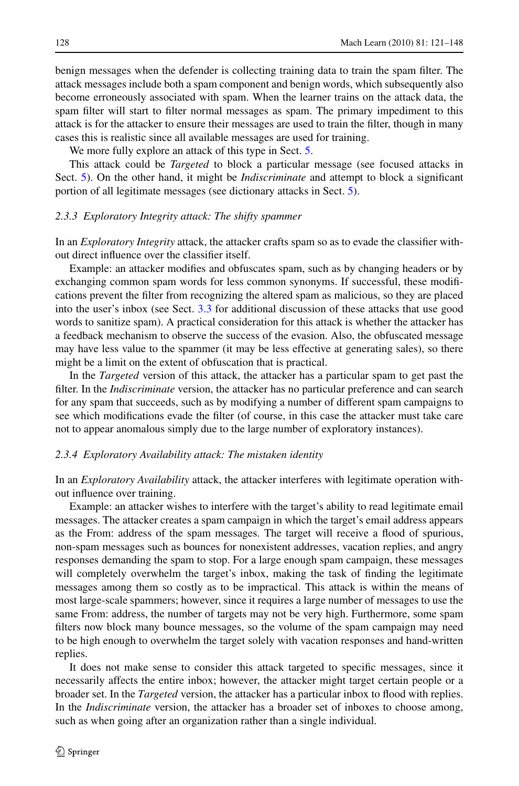benign messages when the defender is collecting training data to train the spam filter. The attack messages include both a spam component and benign words, which subsequently also become erroneously associated with spam. When the learner trains on the attack data, the spam filter will start to filter normal messages as spam. The primary impediment to this attack is for the attacker to ensure their messages are used to train the filter, though in many cases this is realistic since all available messages are used for training.

We more fully explore an attack of this type in Sect. [5.](#page-18-0)

This attack could be *Targeted* to block a particular message (see focused attacks in Sect. [5](#page-18-0)). On the other hand, it might be *Indiscriminate* and attempt to block a significant portion of all legitimate messages (see dictionary attacks in Sect. [5](#page-18-0)).

#### *2.3.3 Exploratory Integrity attack: The shifty spammer*

In an *Exploratory Integrity* attack, the attacker crafts spam so as to evade the classifier without direct influence over the classifier itself.

Example: an attacker modifies and obfuscates spam, such as by changing headers or by exchanging common spam words for less common synonyms. If successful, these modifications prevent the filter from recognizing the altered spam as malicious, so they are placed into the user's inbox (see Sect. [3.3](#page-11-0) for additional discussion of these attacks that use good words to sanitize spam). A practical consideration for this attack is whether the attacker has a feedback mechanism to observe the success of the evasion. Also, the obfuscated message may have less value to the spammer (it may be less effective at generating sales), so there might be a limit on the extent of obfuscation that is practical.

In the *Targeted* version of this attack, the attacker has a particular spam to get past the filter. In the *Indiscriminate* version, the attacker has no particular preference and can search for any spam that succeeds, such as by modifying a number of different spam campaigns to see which modifications evade the filter (of course, in this case the attacker must take care not to appear anomalous simply due to the large number of exploratory instances).

#### *2.3.4 Exploratory Availability attack: The mistaken identity*

In an *Exploratory Availability* attack, the attacker interferes with legitimate operation without influence over training.

Example: an attacker wishes to interfere with the target's ability to read legitimate email messages. The attacker creates a spam campaign in which the target's email address appears as the From: address of the spam messages. The target will receive a flood of spurious, non-spam messages such as bounces for nonexistent addresses, vacation replies, and angry responses demanding the spam to stop. For a large enough spam campaign, these messages will completely overwhelm the target's inbox, making the task of finding the legitimate messages among them so costly as to be impractical. This attack is within the means of most large-scale spammers; however, since it requires a large number of messages to use the same From: address, the number of targets may not be very high. Furthermore, some spam filters now block many bounce messages, so the volume of the spam campaign may need to be high enough to overwhelm the target solely with vacation responses and hand-written replies.

It does not make sense to consider this attack targeted to specific messages, since it necessarily affects the entire inbox; however, the attacker might target certain people or a broader set. In the *Targeted* version, the attacker has a particular inbox to flood with replies. In the *Indiscriminate* version, the attacker has a broader set of inboxes to choose among, such as when going after an organization rather than a single individual.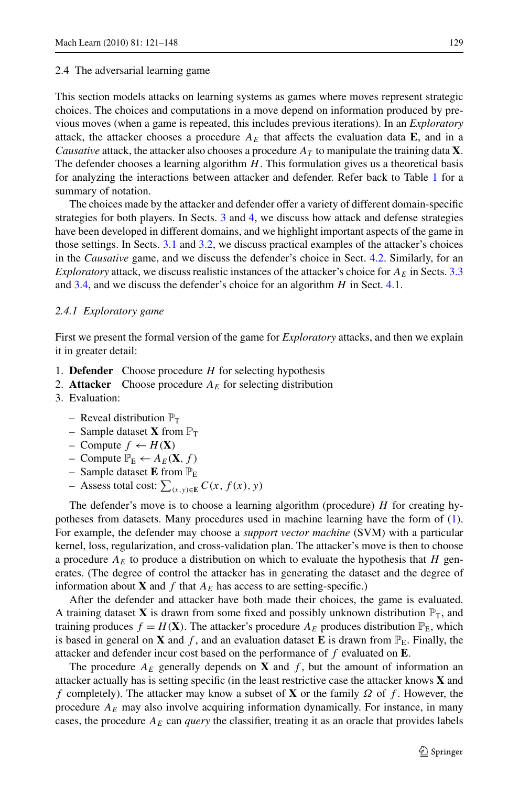#### <span id="page-8-0"></span>2.4 The adversarial learning game

This section models attacks on learning systems as games where moves represent strategic choices. The choices and computations in a move depend on information produced by previous moves (when a game is repeated, this includes previous iterations). In an *Exploratory* attack, the attacker chooses a procedure  $A_F$  that affects the evaluation data **E**, and in a *Causative* attack, the attacker also chooses a procedure  $A_T$  to manipulate the training data **X**. The defender chooses a learning algorithm *H*. This formulation gives us a theoretical basis for analyzing the interactions between attacker and defender. Refer back to Table [1](#page-3-1) for a summary of notation.

The choices made by the attacker and defender offer a variety of different domain-specific strategies for both players. In Sects. [3](#page-9-0) and [4,](#page-12-0) we discuss how attack and defense strategies have been developed in different domains, and we highlight important aspects of the game in those settings. In Sects. [3.1](#page-9-1) and [3.2](#page-10-0), we discuss practical examples of the attacker's choices in the *Causative* game, and we discuss the defender's choice in Sect. [4.2.](#page-15-0) Similarly, for an *Exploratory* attack, we discuss realistic instances of the attacker's choice for  $A_E$  in Sects. [3.3](#page-11-0) and [3.4,](#page-12-2) and we discuss the defender's choice for an algorithm *H* in Sect. [4.1.](#page-13-0)

# *2.4.1 Exploratory game*

First we present the formal version of the game for *Exploratory* attacks, and then we explain it in greater detail:

- 1. **Defender** Choose procedure *H* for selecting hypothesis
- 2. **Attacker** Choose procedure  $A_E$  for selecting distribution
- 3. Evaluation:
	- Reveal distribution  $\mathbb{P}_T$
	- Sample dataset **X** from  $\mathbb{P}_T$
	- Compute *f* ← *H(***X***)*
	- Compute P<sup>E</sup> ← *AE(***X***,f)*
	- $-$  Sample dataset **E** from  $\mathbb{P}_E$
	- − Assess total cost:  $\sum_{(x,y)\in \mathbf{E}} C(x, f(x), y)$

The defender's move is to choose a learning algorithm (procedure) *H* for creating hypotheses from datasets. Many procedures used in machine learning have the form of [\(1](#page-2-0)). For example, the defender may choose a *support vector machine* (SVM) with a particular kernel, loss, regularization, and cross-validation plan. The attacker's move is then to choose a procedure  $A_E$  to produce a distribution on which to evaluate the hypothesis that *H* generates. (The degree of control the attacker has in generating the dataset and the degree of information about **X** and  $f$  that  $A_E$  has access to are setting-specific.)

After the defender and attacker have both made their choices, the game is evaluated. A training dataset **X** is drawn from some fixed and possibly unknown distribution  $\mathbb{P}_T$ , and training produces  $f = H(\mathbf{X})$ . The attacker's procedure  $A_E$  produces distribution  $\mathbb{P}_E$ , which is based in general on **X** and f, and an evaluation dataset **E** is drawn from  $\mathbb{P}_E$ . Finally, the attacker and defender incur cost based on the performance of *f* evaluated on **E**.

The procedure  $A_F$  generally depends on **X** and f, but the amount of information an attacker actually has is setting specific (in the least restrictive case the attacker knows **X** and *f* completely). The attacker may know a subset of **X** or the family *Ω* of *f* . However, the procedure  $A<sub>E</sub>$  may also involve acquiring information dynamically. For instance, in many cases, the procedure  $A_E$  can *query* the classifier, treating it as an oracle that provides labels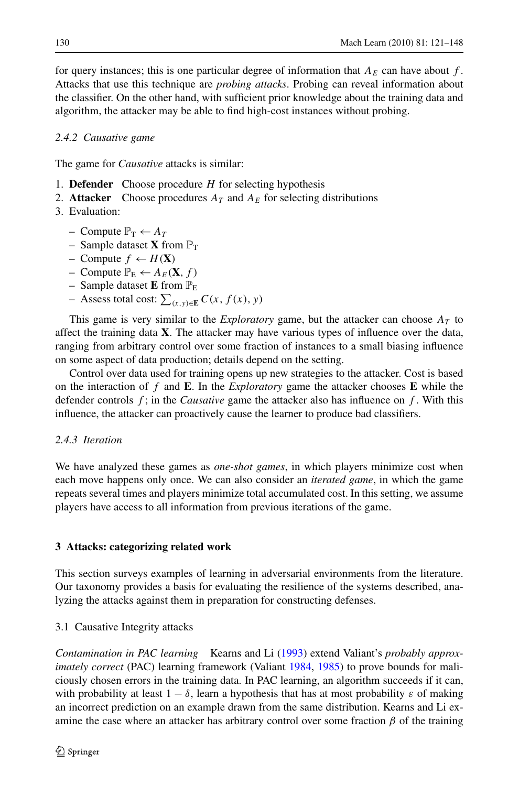for query instances; this is one particular degree of information that  $A<sub>E</sub>$  can have about f. Attacks that use this technique are *probing attacks*. Probing can reveal information about the classifier. On the other hand, with sufficient prior knowledge about the training data and algorithm, the attacker may be able to find high-cost instances without probing.

# *2.4.2 Causative game*

The game for *Causative* attacks is similar:

- 1. **Defender** Choose procedure *H* for selecting hypothesis
- 2. **Attacker** Choose procedures  $A_T$  and  $A_E$  for selecting distributions
- 3. Evaluation:
	- Compute  $\mathbb{P}_T$  ←  $A_T$
	- Sample dataset **X** from  $\mathbb{P}_T$
	- Compute *f* ← *H(***X***)*
	- Compute P<sup>E</sup> ← *AE(***X***,f)*
	- Sample dataset **E** from  $\mathbb{P}_E$
	- − Assess total cost:  $\sum_{(x,y)\in \mathbf{E}} C(x, f(x), y)$

This game is very similar to the *Exploratory* game, but the attacker can choose  $A_T$  to affect the training data **X**. The attacker may have various types of influence over the data, ranging from arbitrary control over some fraction of instances to a small biasing influence on some aspect of data production; details depend on the setting.

Control over data used for training opens up new strategies to the attacker. Cost is based on the interaction of *f* and **E**. In the *Exploratory* game the attacker chooses **E** while the defender controls *f* ; in the *Causative* game the attacker also has influence on *f* . With this influence, the attacker can proactively cause the learner to produce bad classifiers.

# *2.4.3 Iteration*

<span id="page-9-0"></span>We have analyzed these games as *one-shot games*, in which players minimize cost when each move happens only once. We can also consider an *iterated game*, in which the game repeats several times and players minimize total accumulated cost. In this setting, we assume players have access to all information from previous iterations of the game.

# <span id="page-9-1"></span>**3 Attacks: categorizing related work**

This section surveys examples of learning in adversarial environments from the literature. Our taxonomy provides a basis for evaluating the resilience of the systems described, analyzing the attacks against them in preparation for constructing defenses.

# 3.1 Causative Integrity attacks

*Contamination in PAC learning* Kearns and Li [\(1993\)](#page-26-0) extend Valiant's *probably approximately correct* (PAC) learning framework (Valiant [1984,](#page-26-1) [1985\)](#page-26-2) to prove bounds for maliciously chosen errors in the training data. In PAC learning, an algorithm succeeds if it can, with probability at least  $1 - \delta$ , learn a hypothesis that has at most probability  $\varepsilon$  of making an incorrect prediction on an example drawn from the same distribution. Kearns and Li examine the case where an attacker has arbitrary control over some fraction  $\beta$  of the training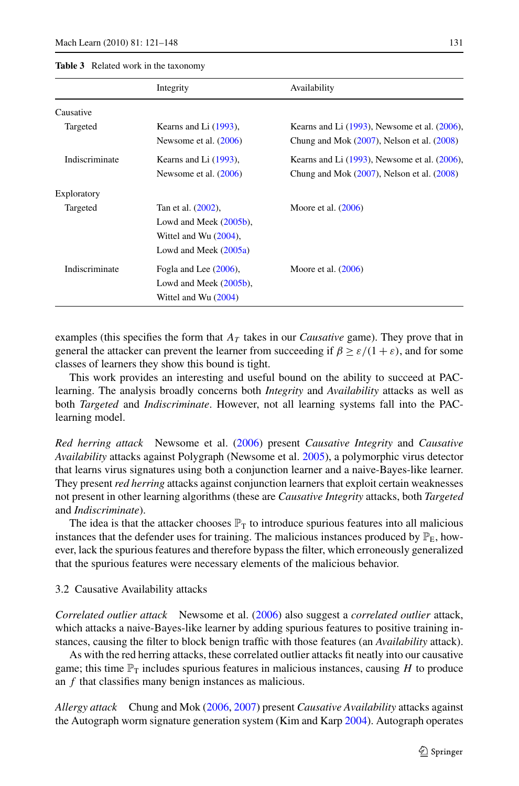|                | Integrity                | Availability                                       |  |  |  |
|----------------|--------------------------|----------------------------------------------------|--|--|--|
| Causative      |                          |                                                    |  |  |  |
| Targeted       | Kearns and Li $(1993)$ , | Kearns and Li $(1993)$ , Newsome et al. $(2006)$ , |  |  |  |
|                | Newsome et al. $(2006)$  | Chung and Mok $(2007)$ , Nelson et al. $(2008)$    |  |  |  |
| Indiscriminate | Kearns and Li $(1993)$ , | Kearns and Li $(1993)$ , Newsome et al. $(2006)$ , |  |  |  |
|                | Newsome et al. $(2006)$  | Chung and Mok $(2007)$ , Nelson et al. $(2008)$    |  |  |  |
| Exploratory    |                          |                                                    |  |  |  |
| Targeted       | Tan et al. (2002),       | Moore et al. $(2006)$                              |  |  |  |
|                | Lowd and Meek (2005b),   |                                                    |  |  |  |
|                | Wittel and Wu $(2004)$ , |                                                    |  |  |  |
|                | Lowd and Meek (2005a)    |                                                    |  |  |  |
| Indiscriminate | Fogla and Lee $(2006)$ , | Moore et al. $(2006)$                              |  |  |  |
|                | Lowd and Meek (2005b),   |                                                    |  |  |  |
|                | Wittel and Wu (2004)     |                                                    |  |  |  |

**Table 3** Related work in the taxonomy

examples (this specifies the form that *AT* takes in our *Causative* game). They prove that in general the attacker can prevent the learner from succeeding if  $\beta \ge \varepsilon/(1+\varepsilon)$ , and for some classes of learners they show this bound is tight.

This work provides an interesting and useful bound on the ability to succeed at PAClearning. The analysis broadly concerns both *Integrity* and *Availability* attacks as well as both *Targeted* and *Indiscriminate*. However, not all learning systems fall into the PAClearning model.

*Red herring attack* Newsome et al. ([2006\)](#page-26-3) present *Causative Integrity* and *Causative Availability* attacks against Polygraph (Newsome et al. [2005](#page-26-10)), a polymorphic virus detector that learns virus signatures using both a conjunction learner and a naive-Bayes-like learner. They present *red herring* attacks against conjunction learners that exploit certain weaknesses not present in other learning algorithms (these are *Causative Integrity* attacks, both *Targeted* and *Indiscriminate*).

<span id="page-10-0"></span>The idea is that the attacker chooses  $\mathbb{P}_T$  to introduce spurious features into all malicious instances that the defender uses for training. The malicious instances produced by  $\mathbb{P}_{E}$ , however, lack the spurious features and therefore bypass the filter, which erroneously generalized that the spurious features were necessary elements of the malicious behavior.

#### 3.2 Causative Availability attacks

*Correlated outlier attack* Newsome et al. ([2006\)](#page-26-3) also suggest a *correlated outlier* attack, which attacks a naive-Bayes-like learner by adding spurious features to positive training instances, causing the filter to block benign traffic with those features (an *Availability* attack).

As with the red herring attacks, these correlated outlier attacks fit neatly into our causative game; this time  $\mathbb{P}_T$  includes spurious features in malicious instances, causing *H* to produce an *f* that classifies many benign instances as malicious.

*Allergy attack* Chung and Mok [\(2006,](#page-25-2) [2007](#page-25-1)) present *Causative Availability* attacks against the Autograph worm signature generation system (Kim and Karp [2004](#page-26-11)). Autograph operates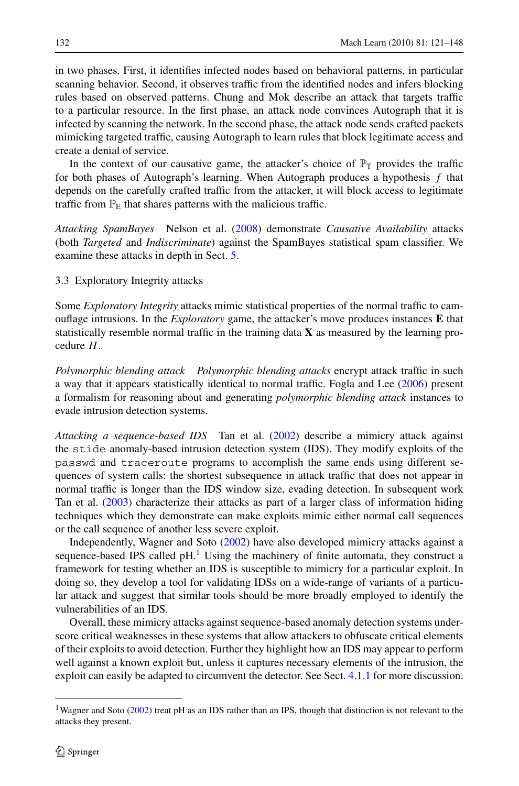in two phases. First, it identifies infected nodes based on behavioral patterns, in particular scanning behavior. Second, it observes traffic from the identified nodes and infers blocking rules based on observed patterns. Chung and Mok describe an attack that targets traffic to a particular resource. In the first phase, an attack node convinces Autograph that it is infected by scanning the network. In the second phase, the attack node sends crafted packets mimicking targeted traffic, causing Autograph to learn rules that block legitimate access and create a denial of service.

<span id="page-11-0"></span>In the context of our causative game, the attacker's choice of  $\mathbb{P}_T$  provides the traffic for both phases of Autograph's learning. When Autograph produces a hypothesis *f* that depends on the carefully crafted traffic from the attacker, it will block access to legitimate traffic from  $\mathbb{P}_E$  that shares patterns with the malicious traffic.

*Attacking SpamBayes* Nelson et al. [\(2008](#page-26-4)) demonstrate *Causative Availability* attacks (both *Targeted* and *Indiscriminate*) against the SpamBayes statistical spam classifier. We examine these attacks in depth in Sect. [5](#page-18-0).

3.3 Exploratory Integrity attacks

Some *Exploratory Integrity* attacks mimic statistical properties of the normal traffic to camouflage intrusions. In the *Exploratory* game, the attacker's move produces instances **E** that statistically resemble normal traffic in the training data **X** as measured by the learning procedure *H*.

*Polymorphic blending attack Polymorphic blending attacks* encrypt attack traffic in such a way that it appears statistically identical to normal traffic. Fogla and Lee [\(2006](#page-26-9)) present a formalism for reasoning about and generating *polymorphic blending attack* instances to evade intrusion detection systems.

*Attacking a sequence-based IDS* Tan et al. ([2002](#page-26-5)) describe a mimicry attack against the stide anomaly-based intrusion detection system (IDS). They modify exploits of the passwd and traceroute programs to accomplish the same ends using different sequences of system calls: the shortest subsequence in attack traffic that does not appear in normal traffic is longer than the IDS window size, evading detection. In subsequent work Tan et al. ([2003\)](#page-26-12) characterize their attacks as part of a larger class of information hiding techniques which they demonstrate can make exploits mimic either normal call sequences or the call sequence of another less severe exploit.

Independently, Wagner and Soto ([2002\)](#page-26-13) have also developed mimicry attacks against a sequence-based IPS called  $pH<sup>1</sup>$  Using the machinery of finite automata, they construct a framework for testing whether an IDS is susceptible to mimicry for a particular exploit. In doing so, they develop a tool for validating IDSs on a wide-range of variants of a particular attack and suggest that similar tools should be more broadly employed to identify the vulnerabilities of an IDS.

<span id="page-11-1"></span>Overall, these mimicry attacks against sequence-based anomaly detection systems underscore critical weaknesses in these systems that allow attackers to obfuscate critical elements of their exploits to avoid detection. Further they highlight how an IDS may appear to perform well against a known exploit but, unless it captures necessary elements of the intrusion, the exploit can easily be adapted to circumvent the detector. See Sect. [4.1.1](#page-13-1) for more discussion.

<sup>&</sup>lt;sup>1</sup>Wagner and Soto ( $2002$ ) treat pH as an IDS rather than an IPS, though that distinction is not relevant to the attacks they present.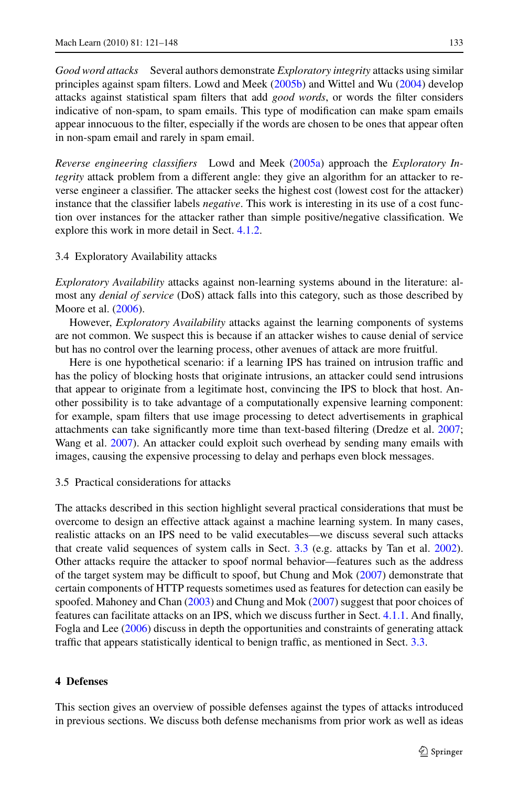*Good word attacks* Several authors demonstrate *Exploratory integrity* attacks using similar principles against spam filters. Lowd and Meek [\(2005b\)](#page-26-7) and Wittel and Wu [\(2004](#page-27-0)) develop attacks against statistical spam filters that add *good words*, or words the filter considers indicative of non-spam, to spam emails. This type of modification can make spam emails appear innocuous to the filter, especially if the words are chosen to be ones that appear often in non-spam email and rarely in spam email.

<span id="page-12-2"></span>*Reverse engineering classifiers* Lowd and Meek [\(2005a\)](#page-26-8) approach the *Exploratory Integrity* attack problem from a different angle: they give an algorithm for an attacker to reverse engineer a classifier. The attacker seeks the highest cost (lowest cost for the attacker) instance that the classifier labels *negative*. This work is interesting in its use of a cost function over instances for the attacker rather than simple positive/negative classification. We explore this work in more detail in Sect. [4.1.2.](#page-15-1)

# 3.4 Exploratory Availability attacks

*Exploratory Availability* attacks against non-learning systems abound in the literature: almost any *denial of service* (DoS) attack falls into this category, such as those described by Moore et al. [\(2006](#page-26-6)).

However, *Exploratory Availability* attacks against the learning components of systems are not common. We suspect this is because if an attacker wishes to cause denial of service but has no control over the learning process, other avenues of attack are more fruitful.

<span id="page-12-1"></span>Here is one hypothetical scenario: if a learning IPS has trained on intrusion traffic and has the policy of blocking hosts that originate intrusions, an attacker could send intrusions that appear to originate from a legitimate host, convincing the IPS to block that host. Another possibility is to take advantage of a computationally expensive learning component: for example, spam filters that use image processing to detect advertisements in graphical attachments can take significantly more time than text-based filtering (Dredze et al. [2007;](#page-26-14) Wang et al. [2007\)](#page-27-1). An attacker could exploit such overhead by sending many emails with images, causing the expensive processing to delay and perhaps even block messages.

# 3.5 Practical considerations for attacks

<span id="page-12-0"></span>The attacks described in this section highlight several practical considerations that must be overcome to design an effective attack against a machine learning system. In many cases, realistic attacks on an IPS need to be valid executables—we discuss several such attacks that create valid sequences of system calls in Sect. [3.3](#page-11-0) (e.g. attacks by Tan et al. [2002](#page-26-5)). Other attacks require the attacker to spoof normal behavior—features such as the address of the target system may be difficult to spoof, but Chung and Mok ([2007\)](#page-25-1) demonstrate that certain components of HTTP requests sometimes used as features for detection can easily be spoofed. Mahoney and Chan [\(2003](#page-26-15)) and Chung and Mok ([2007\)](#page-25-1) suggest that poor choices of features can facilitate attacks on an IPS, which we discuss further in Sect. [4.1.1.](#page-13-2) And finally, Fogla and Lee ([2006\)](#page-26-9) discuss in depth the opportunities and constraints of generating attack traffic that appears statistically identical to benign traffic, as mentioned in Sect. [3.3.](#page-11-0)

# **4 Defenses**

This section gives an overview of possible defenses against the types of attacks introduced in previous sections. We discuss both defense mechanisms from prior work as well as ideas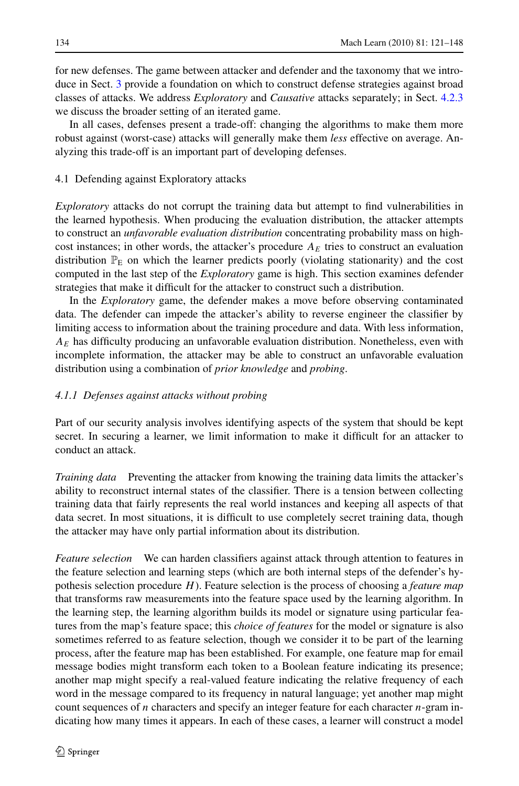<span id="page-13-0"></span>for new defenses. The game between attacker and defender and the taxonomy that we introduce in Sect. [3](#page-9-0) provide a foundation on which to construct defense strategies against broad classes of attacks. We address *Exploratory* and *Causative* attacks separately; in Sect. [4.2.3](#page-16-0) we discuss the broader setting of an iterated game.

In all cases, defenses present a trade-off: changing the algorithms to make them more robust against (worst-case) attacks will generally make them *less* effective on average. Analyzing this trade-off is an important part of developing defenses.

#### 4.1 Defending against Exploratory attacks

*Exploratory* attacks do not corrupt the training data but attempt to find vulnerabilities in the learned hypothesis. When producing the evaluation distribution, the attacker attempts to construct an *unfavorable evaluation distribution* concentrating probability mass on highcost instances; in other words, the attacker's procedure  $A<sub>E</sub>$  tries to construct an evaluation distribution  $\mathbb{P}_E$  on which the learner predicts poorly (violating stationarity) and the cost computed in the last step of the *Exploratory* game is high. This section examines defender strategies that make it difficult for the attacker to construct such a distribution.

<span id="page-13-2"></span>In the *Exploratory* game, the defender makes a move before observing contaminated data. The defender can impede the attacker's ability to reverse engineer the classifier by limiting access to information about the training procedure and data. With less information, *AE* has difficulty producing an unfavorable evaluation distribution. Nonetheless, even with incomplete information, the attacker may be able to construct an unfavorable evaluation distribution using a combination of *prior knowledge* and *probing*.

## *4.1.1 Defenses against attacks without probing*

<span id="page-13-1"></span>Part of our security analysis involves identifying aspects of the system that should be kept secret. In securing a learner, we limit information to make it difficult for an attacker to conduct an attack.

*Training data* Preventing the attacker from knowing the training data limits the attacker's ability to reconstruct internal states of the classifier. There is a tension between collecting training data that fairly represents the real world instances and keeping all aspects of that data secret. In most situations, it is difficult to use completely secret training data, though the attacker may have only partial information about its distribution.

*Feature selection* We can harden classifiers against attack through attention to features in the feature selection and learning steps (which are both internal steps of the defender's hypothesis selection procedure *H*). Feature selection is the process of choosing a *feature map* that transforms raw measurements into the feature space used by the learning algorithm. In the learning step, the learning algorithm builds its model or signature using particular features from the map's feature space; this *choice of features* for the model or signature is also sometimes referred to as feature selection, though we consider it to be part of the learning process, after the feature map has been established. For example, one feature map for email message bodies might transform each token to a Boolean feature indicating its presence; another map might specify a real-valued feature indicating the relative frequency of each word in the message compared to its frequency in natural language; yet another map might count sequences of *n* characters and specify an integer feature for each character *n*-gram indicating how many times it appears. In each of these cases, a learner will construct a model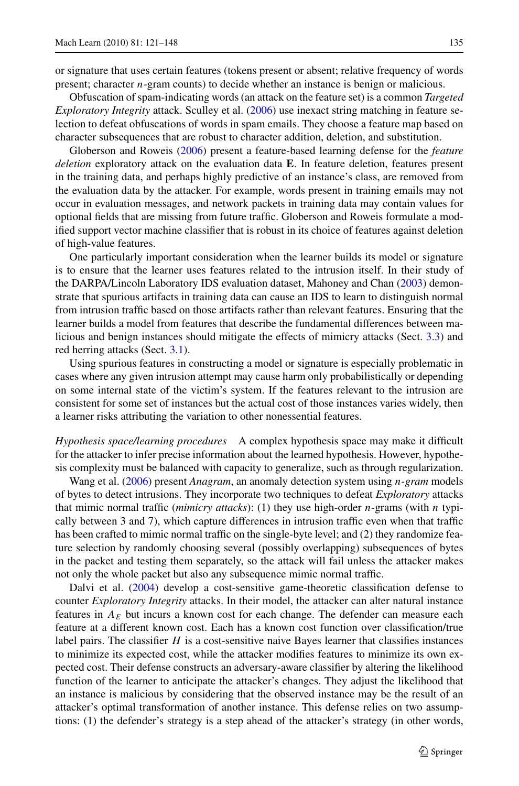or signature that uses certain features (tokens present or absent; relative frequency of words present; character *n*-gram counts) to decide whether an instance is benign or malicious.

Obfuscation of spam-indicating words (an attack on the feature set) is a common *Targeted Exploratory Integrity* attack. Sculley et al. ([2006\)](#page-26-16) use inexact string matching in feature selection to defeat obfuscations of words in spam emails. They choose a feature map based on character subsequences that are robust to character addition, deletion, and substitution.

Globerson and Roweis ([2006\)](#page-26-17) present a feature-based learning defense for the *feature deletion* exploratory attack on the evaluation data **E**. In feature deletion, features present in the training data, and perhaps highly predictive of an instance's class, are removed from the evaluation data by the attacker. For example, words present in training emails may not occur in evaluation messages, and network packets in training data may contain values for optional fields that are missing from future traffic. Globerson and Roweis formulate a modified support vector machine classifier that is robust in its choice of features against deletion of high-value features.

One particularly important consideration when the learner builds its model or signature is to ensure that the learner uses features related to the intrusion itself. In their study of the DARPA/Lincoln Laboratory IDS evaluation dataset, Mahoney and Chan [\(2003](#page-26-15)) demonstrate that spurious artifacts in training data can cause an IDS to learn to distinguish normal from intrusion traffic based on those artifacts rather than relevant features. Ensuring that the learner builds a model from features that describe the fundamental differences between malicious and benign instances should mitigate the effects of mimicry attacks (Sect. [3.3\)](#page-11-0) and red herring attacks (Sect. [3.1\)](#page-9-1).

Using spurious features in constructing a model or signature is especially problematic in cases where any given intrusion attempt may cause harm only probabilistically or depending on some internal state of the victim's system. If the features relevant to the intrusion are consistent for some set of instances but the actual cost of those instances varies widely, then a learner risks attributing the variation to other nonessential features.

*Hypothesis space/learning procedures* A complex hypothesis space may make it difficult for the attacker to infer precise information about the learned hypothesis. However, hypothesis complexity must be balanced with capacity to generalize, such as through regularization.

Wang et al. ([2006\)](#page-27-2) present *Anagram*, an anomaly detection system using *n-gram* models of bytes to detect intrusions. They incorporate two techniques to defeat *Exploratory* attacks that mimic normal traffic (*mimicry attacks*): (1) they use high-order *n*-grams (with *n* typically between 3 and 7), which capture differences in intrusion traffic even when that traffic has been crafted to mimic normal traffic on the single-byte level; and (2) they randomize feature selection by randomly choosing several (possibly overlapping) subsequences of bytes in the packet and testing them separately, so the attack will fail unless the attacker makes not only the whole packet but also any subsequence mimic normal traffic.

Dalvi et al. [\(2004](#page-26-18)) develop a cost-sensitive game-theoretic classification defense to counter *Exploratory Integrity* attacks. In their model, the attacker can alter natural instance features in  $A_E$  but incurs a known cost for each change. The defender can measure each feature at a different known cost. Each has a known cost function over classification/true label pairs. The classifier  $H$  is a cost-sensitive naive Bayes learner that classifies instances to minimize its expected cost, while the attacker modifies features to minimize its own expected cost. Their defense constructs an adversary-aware classifier by altering the likelihood function of the learner to anticipate the attacker's changes. They adjust the likelihood that an instance is malicious by considering that the observed instance may be the result of an attacker's optimal transformation of another instance. This defense relies on two assumptions: (1) the defender's strategy is a step ahead of the attacker's strategy (in other words,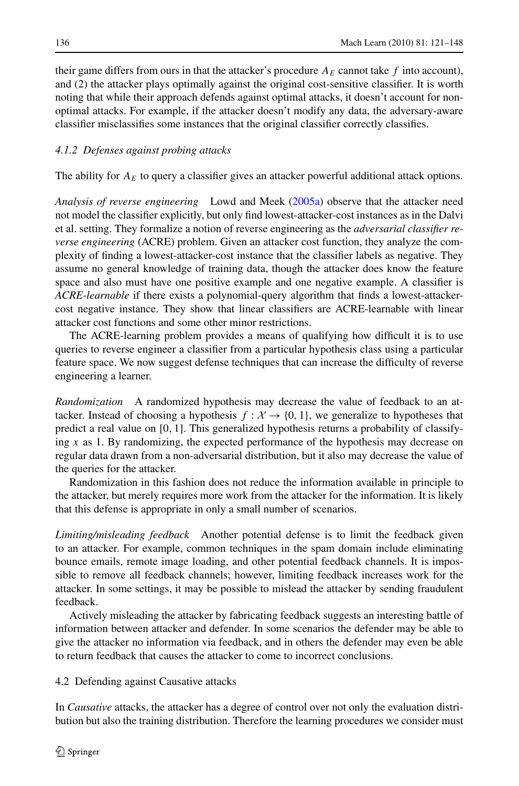<span id="page-15-1"></span>their game differs from ours in that the attacker's procedure  $A<sub>E</sub>$  cannot take  $f$  into account), and (2) the attacker plays optimally against the original cost-sensitive classifier. It is worth noting that while their approach defends against optimal attacks, it doesn't account for nonoptimal attacks. For example, if the attacker doesn't modify any data, the adversary-aware classifier misclassifies some instances that the original classifier correctly classifies.

# *4.1.2 Defenses against probing attacks*

The ability for  $A_E$  to query a classifier gives an attacker powerful additional attack options.

*Analysis of reverse engineering* Lowd and Meek ([2005a\)](#page-26-8) observe that the attacker need not model the classifier explicitly, but only find lowest-attacker-cost instances as in the Dalvi et al. setting. They formalize a notion of reverse engineering as the *adversarial classifier reverse engineering* (ACRE) problem. Given an attacker cost function, they analyze the complexity of finding a lowest-attacker-cost instance that the classifier labels as negative. They assume no general knowledge of training data, though the attacker does know the feature space and also must have one positive example and one negative example. A classifier is *ACRE-learnable* if there exists a polynomial-query algorithm that finds a lowest-attackercost negative instance. They show that linear classifiers are ACRE-learnable with linear attacker cost functions and some other minor restrictions.

The ACRE-learning problem provides a means of qualifying how difficult it is to use queries to reverse engineer a classifier from a particular hypothesis class using a particular feature space. We now suggest defense techniques that can increase the difficulty of reverse engineering a learner.

*Randomization* A randomized hypothesis may decrease the value of feedback to an attacker. Instead of choosing a hypothesis  $f: \mathcal{X} \to \{0, 1\}$ , we generalize to hypotheses that predict a real value on [0*,* 1]. This generalized hypothesis returns a probability of classifying *x* as 1. By randomizing, the expected performance of the hypothesis may decrease on regular data drawn from a non-adversarial distribution, but it also may decrease the value of the queries for the attacker.

Randomization in this fashion does not reduce the information available in principle to the attacker, but merely requires more work from the attacker for the information. It is likely that this defense is appropriate in only a small number of scenarios.

*Limiting/misleading feedback* Another potential defense is to limit the feedback given to an attacker. For example, common techniques in the spam domain include eliminating bounce emails, remote image loading, and other potential feedback channels. It is impossible to remove all feedback channels; however, limiting feedback increases work for the attacker. In some settings, it may be possible to mislead the attacker by sending fraudulent feedback.

<span id="page-15-0"></span>Actively misleading the attacker by fabricating feedback suggests an interesting battle of information between attacker and defender. In some scenarios the defender may be able to give the attacker no information via feedback, and in others the defender may even be able to return feedback that causes the attacker to come to incorrect conclusions.

4.2 Defending against Causative attacks

In *Causative* attacks, the attacker has a degree of control over not only the evaluation distribution but also the training distribution. Therefore the learning procedures we consider must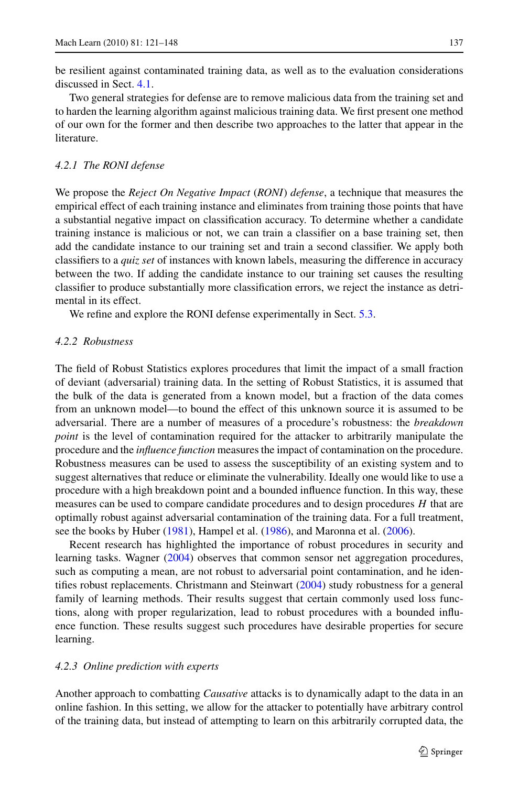<span id="page-16-1"></span>be resilient against contaminated training data, as well as to the evaluation considerations discussed in Sect. [4.1](#page-13-0).

Two general strategies for defense are to remove malicious data from the training set and to harden the learning algorithm against malicious training data. We first present one method of our own for the former and then describe two approaches to the latter that appear in the literature.

# *4.2.1 The RONI defense*

We propose the *Reject On Negative Impact* (*RONI*) *defense*, a technique that measures the empirical effect of each training instance and eliminates from training those points that have a substantial negative impact on classification accuracy. To determine whether a candidate training instance is malicious or not, we can train a classifier on a base training set, then add the candidate instance to our training set and train a second classifier. We apply both classifiers to a *quiz set* of instances with known labels, measuring the difference in accuracy between the two. If adding the candidate instance to our training set causes the resulting classifier to produce substantially more classification errors, we reject the instance as detrimental in its effect.

We refine and explore the RONI defense experimentally in Sect. [5.3.](#page-21-0)

#### *4.2.2 Robustness*

The field of Robust Statistics explores procedures that limit the impact of a small fraction of deviant (adversarial) training data. In the setting of Robust Statistics, it is assumed that the bulk of the data is generated from a known model, but a fraction of the data comes from an unknown model—to bound the effect of this unknown source it is assumed to be adversarial. There are a number of measures of a procedure's robustness: the *breakdown point* is the level of contamination required for the attacker to arbitrarily manipulate the procedure and the *influence function* measures the impact of contamination on the procedure. Robustness measures can be used to assess the susceptibility of an existing system and to suggest alternatives that reduce or eliminate the vulnerability. Ideally one would like to use a procedure with a high breakdown point and a bounded influence function. In this way, these measures can be used to compare candidate procedures and to design procedures *H* that are optimally robust against adversarial contamination of the training data. For a full treatment, see the books by Huber [\(1981](#page-26-19)), Hampel et al. [\(1986](#page-26-20)), and Maronna et al. ([2006](#page-26-21)).

<span id="page-16-0"></span>Recent research has highlighted the importance of robust procedures in security and learning tasks. Wagner ([2004\)](#page-26-22) observes that common sensor net aggregation procedures, such as computing a mean, are not robust to adversarial point contamination, and he identifies robust replacements. Christmann and Steinwart ([2004\)](#page-25-3) study robustness for a general family of learning methods. Their results suggest that certain commonly used loss functions, along with proper regularization, lead to robust procedures with a bounded influence function. These results suggest such procedures have desirable properties for secure learning.

#### *4.2.3 Online prediction with experts*

Another approach to combatting *Causative* attacks is to dynamically adapt to the data in an online fashion. In this setting, we allow for the attacker to potentially have arbitrary control of the training data, but instead of attempting to learn on this arbitrarily corrupted data, the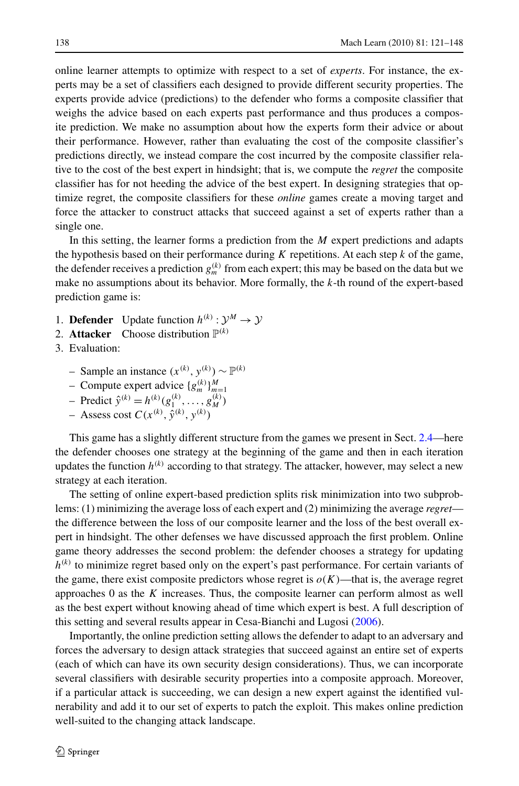online learner attempts to optimize with respect to a set of *experts*. For instance, the experts may be a set of classifiers each designed to provide different security properties. The experts provide advice (predictions) to the defender who forms a composite classifier that weighs the advice based on each experts past performance and thus produces a composite prediction. We make no assumption about how the experts form their advice or about their performance. However, rather than evaluating the cost of the composite classifier's predictions directly, we instead compare the cost incurred by the composite classifier relative to the cost of the best expert in hindsight; that is, we compute the *regret* the composite classifier has for not heeding the advice of the best expert. In designing strategies that optimize regret, the composite classifiers for these *online* games create a moving target and force the attacker to construct attacks that succeed against a set of experts rather than a single one.

In this setting, the learner forms a prediction from the *M* expert predictions and adapts the hypothesis based on their performance during *K* repetitions. At each step *k* of the game, the defender receives a prediction  $g_m^{(k)}$  from each expert; this may be based on the data but we make no assumptions about its behavior. More formally, the *k*-th round of the expert-based prediction game is:

- 1. **Defender** Update function  $h^{(k)} : \mathcal{Y}^M \to \mathcal{Y}$
- 2. **Attacker** Choose distribution  $\mathbb{P}^{(k)}$
- 3. Evaluation:
	- Sample an instance  $(x^{(k)}, y^{(k)})$  ∼  $\mathbb{P}^{(k)}$
	- Compute expert advice  ${g_m^{(k)}}_{m=1}^M$
	- $-P_{\text{redict}} \hat{y}^{(k)} = h^{(k)}(g_1^{(k)}, \ldots, g_M^{(k)})$
	- $-$  Assess cost  $C(x^{(k)}, \hat{y}^{(k)}, y^{(k)})$

This game has a slightly different structure from the games we present in Sect. [2.4—](#page-8-0)here the defender chooses one strategy at the beginning of the game and then in each iteration updates the function  $h^{(k)}$  according to that strategy. The attacker, however, may select a new strategy at each iteration.

The setting of online expert-based prediction splits risk minimization into two subproblems: (1) minimizing the average loss of each expert and (2) minimizing the average *regret* the difference between the loss of our composite learner and the loss of the best overall expert in hindsight. The other defenses we have discussed approach the first problem. Online game theory addresses the second problem: the defender chooses a strategy for updating  $h^{(k)}$  to minimize regret based only on the expert's past performance. For certain variants of the game, there exist composite predictors whose regret is  $o(K)$ —that is, the average regret approaches 0 as the *K* increases. Thus, the composite learner can perform almost as well as the best expert without knowing ahead of time which expert is best. A full description of this setting and several results appear in Cesa-Bianchi and Lugosi ([2006\)](#page-25-4).

Importantly, the online prediction setting allows the defender to adapt to an adversary and forces the adversary to design attack strategies that succeed against an entire set of experts (each of which can have its own security design considerations). Thus, we can incorporate several classifiers with desirable security properties into a composite approach. Moreover, if a particular attack is succeeding, we can design a new expert against the identified vulnerability and add it to our set of experts to patch the exploit. This makes online prediction well-suited to the changing attack landscape.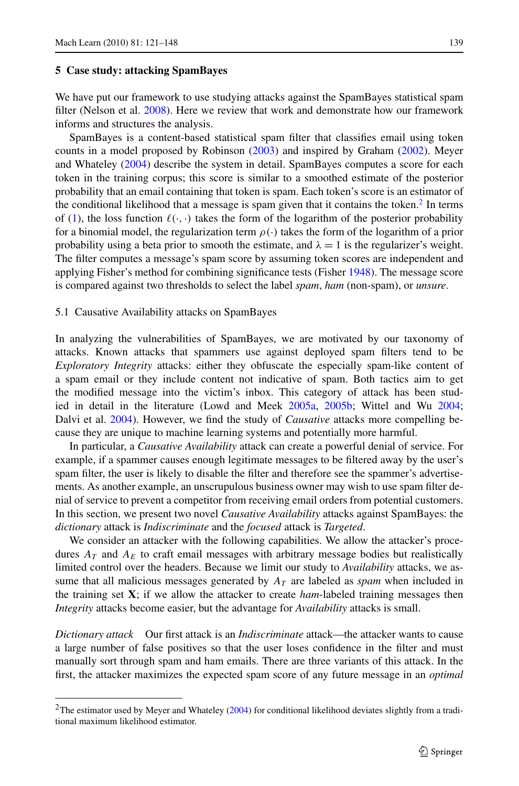# <span id="page-18-0"></span>**5 Case study: attacking SpamBayes**

We have put our framework to use studying attacks against the SpamBayes statistical spam filter (Nelson et al. [2008\)](#page-26-4). Here we review that work and demonstrate how our framework informs and structures the analysis.

<span id="page-18-2"></span>SpamBayes is a content-based statistical spam filter that classifies email using token counts in a model proposed by Robinson ([2003\)](#page-26-23) and inspired by Graham [\(2002](#page-26-24)). Meyer and Whateley [\(2004](#page-26-25)) describe the system in detail. SpamBayes computes a score for each token in the training corpus; this score is similar to a smoothed estimate of the posterior probability that an email containing that token is spam. Each token's score is an estimator of the conditional likelihood that a message is spam given that it contains the token.<sup>[2](#page-18-1)</sup> In terms of ([1\)](#page-2-0), the loss function  $\ell(\cdot, \cdot)$  takes the form of the logarithm of the posterior probability for a binomial model, the regularization term  $\rho(\cdot)$  takes the form of the logarithm of a prior probability using a beta prior to smooth the estimate, and  $\lambda = 1$  is the regularizer's weight. The filter computes a message's spam score by assuming token scores are independent and applying Fisher's method for combining significance tests (Fisher [1948](#page-26-26)). The message score is compared against two thresholds to select the label *spam*, *ham* (non-spam), or *unsure*.

#### 5.1 Causative Availability attacks on SpamBayes

In analyzing the vulnerabilities of SpamBayes, we are motivated by our taxonomy of attacks. Known attacks that spammers use against deployed spam filters tend to be *Exploratory Integrity* attacks: either they obfuscate the especially spam-like content of a spam email or they include content not indicative of spam. Both tactics aim to get the modified message into the victim's inbox. This category of attack has been studied in detail in the literature (Lowd and Meek [2005a,](#page-26-8) [2005b](#page-26-7); Wittel and Wu [2004;](#page-27-0) Dalvi et al. [2004](#page-26-18)). However, we find the study of *Causative* attacks more compelling because they are unique to machine learning systems and potentially more harmful.

In particular, a *Causative Availability* attack can create a powerful denial of service. For example, if a spammer causes enough legitimate messages to be filtered away by the user's spam filter, the user is likely to disable the filter and therefore see the spammer's advertisements. As another example, an unscrupulous business owner may wish to use spam filter denial of service to prevent a competitor from receiving email orders from potential customers. In this section, we present two novel *Causative Availability* attacks against SpamBayes: the *dictionary* attack is *Indiscriminate* and the *focused* attack is *Targeted*.

We consider an attacker with the following capabilities. We allow the attacker's procedures  $A_T$  and  $A_E$  to craft email messages with arbitrary message bodies but realistically limited control over the headers. Because we limit our study to *Availability* attacks, we assume that all malicious messages generated by *AT* are labeled as *spam* when included in the training set **X**; if we allow the attacker to create *ham*-labeled training messages then *Integrity* attacks become easier, but the advantage for *Availability* attacks is small.

<span id="page-18-1"></span>*Dictionary attack* Our first attack is an *Indiscriminate* attack—the attacker wants to cause a large number of false positives so that the user loses confidence in the filter and must manually sort through spam and ham emails. There are three variants of this attack. In the first, the attacker maximizes the expected spam score of any future message in an *optimal*

 $^{2}$ The estimator used by Meyer and Whateley ([2004](#page-26-25)) for conditional likelihood deviates slightly from a traditional maximum likelihood estimator.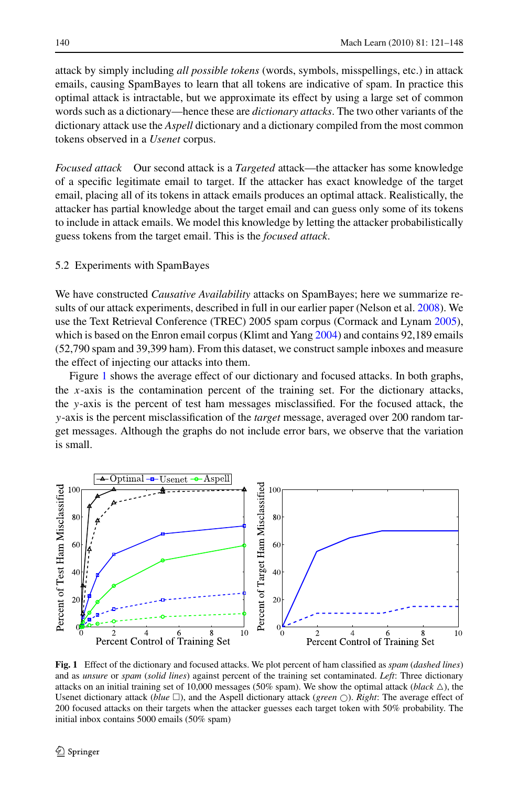attack by simply including *all possible tokens* (words, symbols, misspellings, etc.) in attack emails, causing SpamBayes to learn that all tokens are indicative of spam. In practice this optimal attack is intractable, but we approximate its effect by using a large set of common words such as a dictionary—hence these are *dictionary attacks*. The two other variants of the dictionary attack use the *Aspell* dictionary and a dictionary compiled from the most common tokens observed in a *Usenet* corpus.

*Focused attack* Our second attack is a *Targeted* attack—the attacker has some knowledge of a specific legitimate email to target. If the attacker has exact knowledge of the target email, placing all of its tokens in attack emails produces an optimal attack. Realistically, the attacker has partial knowledge about the target email and can guess only some of its tokens to include in attack emails. We model this knowledge by letting the attacker probabilistically guess tokens from the target email. This is the *focused attack*.

# 5.2 Experiments with SpamBayes

We have constructed *Causative Availability* attacks on SpamBayes; here we summarize results of our attack experiments, described in full in our earlier paper (Nelson et al. [2008\)](#page-26-4). We use the Text Retrieval Conference (TREC) 2005 spam corpus (Cormack and Lynam [2005](#page-25-5)), which is based on the Enron email corpus (Klimt and Yang [2004](#page-26-27)) and contains 92,189 emails (52,790 spam and 39,399 ham). From this dataset, we construct sample inboxes and measure the effect of injecting our attacks into them.

Figure [1](#page-19-0) shows the average effect of our dictionary and focused attacks. In both graphs, the *x*-axis is the contamination percent of the training set. For the dictionary attacks, the *y*-axis is the percent of test ham messages misclassified. For the focused attack, the *y*-axis is the percent misclassification of the *target* message, averaged over 200 random target messages. Although the graphs do not include error bars, we observe that the variation is small.



<span id="page-19-0"></span>**Fig. 1** Effect of the dictionary and focused attacks. We plot percent of ham classified as *spam* (*dashed lines*) and as *unsure* or *spam* (*solid lines*) against percent of the training set contaminated. *Left*: Three dictionary attacks on an initial training set of 10,000 messages (50% spam). We show the optimal attack (*black*  $\triangle$ ), the Usenet dictionary attack ( $blue \Box$ ), and the Aspell dictionary attack (*green*  $\bigcirc$ ). *Right*: The average effect of 200 focused attacks on their targets when the attacker guesses each target token with 50% probability. The initial inbox contains 5000 emails (50% spam)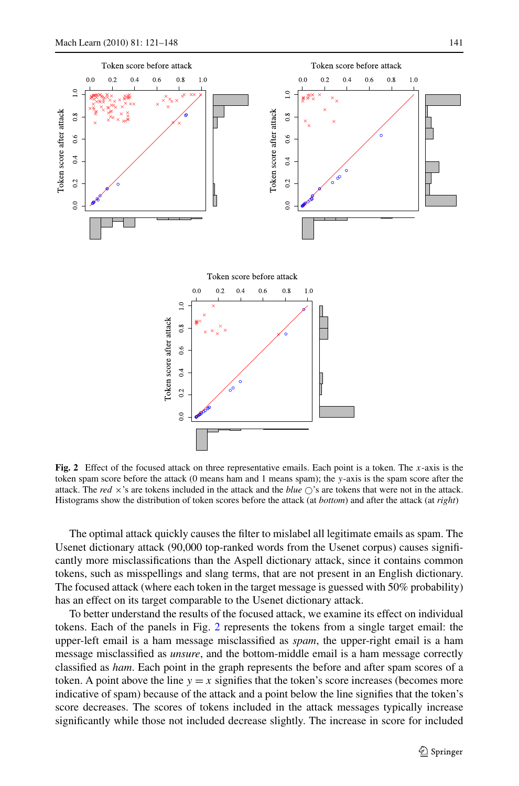

<span id="page-20-0"></span>**Fig. 2** Effect of the focused attack on three representative emails. Each point is a token. The *x*-axis is the token spam score before the attack (0 means ham and 1 means spam); the *y*-axis is the spam score after the attack. The *red*  $\times$ 's are tokens included in the attack and the *blue*  $\circ$ 's are tokens that were not in the attack. Histograms show the distribution of token scores before the attack (at *bottom*) and after the attack (at *right*)

The optimal attack quickly causes the filter to mislabel all legitimate emails as spam. The Usenet dictionary attack (90,000 top-ranked words from the Usenet corpus) causes significantly more misclassifications than the Aspell dictionary attack, since it contains common tokens, such as misspellings and slang terms, that are not present in an English dictionary. The focused attack (where each token in the target message is guessed with 50% probability) has an effect on its target comparable to the Usenet dictionary attack.

To better understand the results of the focused attack, we examine its effect on individual tokens. Each of the panels in Fig. [2](#page-20-0) represents the tokens from a single target email: the upper-left email is a ham message misclassified as *spam*, the upper-right email is a ham message misclassified as *unsure*, and the bottom-middle email is a ham message correctly classified as *ham*. Each point in the graph represents the before and after spam scores of a token. A point above the line  $y = x$  signifies that the token's score increases (becomes more indicative of spam) because of the attack and a point below the line signifies that the token's score decreases. The scores of tokens included in the attack messages typically increase significantly while those not included decrease slightly. The increase in score for included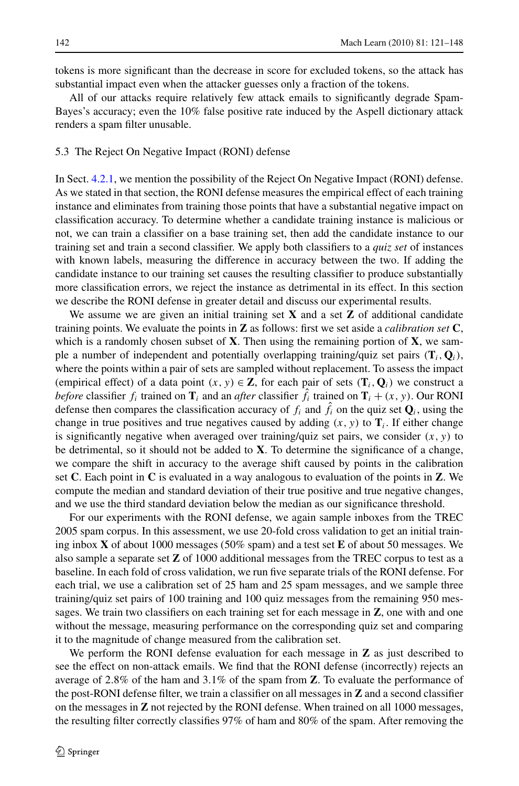<span id="page-21-0"></span>tokens is more significant than the decrease in score for excluded tokens, so the attack has substantial impact even when the attacker guesses only a fraction of the tokens.

All of our attacks require relatively few attack emails to significantly degrade Spam-Bayes's accuracy; even the 10% false positive rate induced by the Aspell dictionary attack renders a spam filter unusable.

#### 5.3 The Reject On Negative Impact (RONI) defense

In Sect. [4.2.1](#page-16-1), we mention the possibility of the Reject On Negative Impact (RONI) defense. As we stated in that section, the RONI defense measures the empirical effect of each training instance and eliminates from training those points that have a substantial negative impact on classification accuracy. To determine whether a candidate training instance is malicious or not, we can train a classifier on a base training set, then add the candidate instance to our training set and train a second classifier. We apply both classifiers to a *quiz set* of instances with known labels, measuring the difference in accuracy between the two. If adding the candidate instance to our training set causes the resulting classifier to produce substantially more classification errors, we reject the instance as detrimental in its effect. In this section we describe the RONI defense in greater detail and discuss our experimental results.

We assume we are given an initial training set  $X$  and a set  $Z$  of additional candidate training points. We evaluate the points in **Z** as follows: first we set aside a *calibration set* **C**, which is a randomly chosen subset of **X**. Then using the remaining portion of **X**, we sample a number of independent and potentially overlapping training/quiz set pairs  $(T_i, Q_i)$ , where the points within a pair of sets are sampled without replacement. To assess the impact (empirical effect) of a data point  $(x, y) \in \mathbb{Z}$ , for each pair of sets  $(\mathbf{T}_i, \mathbf{Q}_i)$  we construct a *before* classifier  $f_i$  trained on  $\mathbf{T}_i$  and an *after* classifier  $\hat{f}_i$  trained on  $\mathbf{T}_i + (x, y)$ . Our RONI defense then compares the classification accuracy of  $f_i$  and  $\hat{f}_i$  on the quiz set  $\mathbf{Q}_i$ , using the change in true positives and true negatives caused by adding  $(x, y)$  to  $\mathbf{T}_i$ . If either change is significantly negative when averaged over training/quiz set pairs, we consider  $(x, y)$  to be detrimental, so it should not be added to **X**. To determine the significance of a change, we compare the shift in accuracy to the average shift caused by points in the calibration set **C**. Each point in **C** is evaluated in a way analogous to evaluation of the points in **Z**. We compute the median and standard deviation of their true positive and true negative changes, and we use the third standard deviation below the median as our significance threshold.

For our experiments with the RONI defense, we again sample inboxes from the TREC 2005 spam corpus. In this assessment, we use 20-fold cross validation to get an initial training inbox **X** of about 1000 messages (50% spam) and a test set **E** of about 50 messages. We also sample a separate set **Z** of 1000 additional messages from the TREC corpus to test as a baseline. In each fold of cross validation, we run five separate trials of the RONI defense. For each trial, we use a calibration set of 25 ham and 25 spam messages, and we sample three training/quiz set pairs of 100 training and 100 quiz messages from the remaining 950 messages. We train two classifiers on each training set for each message in **Z**, one with and one without the message, measuring performance on the corresponding quiz set and comparing it to the magnitude of change measured from the calibration set.

We perform the RONI defense evaluation for each message in **Z** as just described to see the effect on non-attack emails. We find that the RONI defense (incorrectly) rejects an average of 2*.*8% of the ham and 3*.*1% of the spam from **Z**. To evaluate the performance of the post-RONI defense filter, we train a classifier on all messages in **Z** and a second classifier on the messages in **Z** not rejected by the RONI defense. When trained on all 1000 messages, the resulting filter correctly classifies 97% of ham and 80% of the spam. After removing the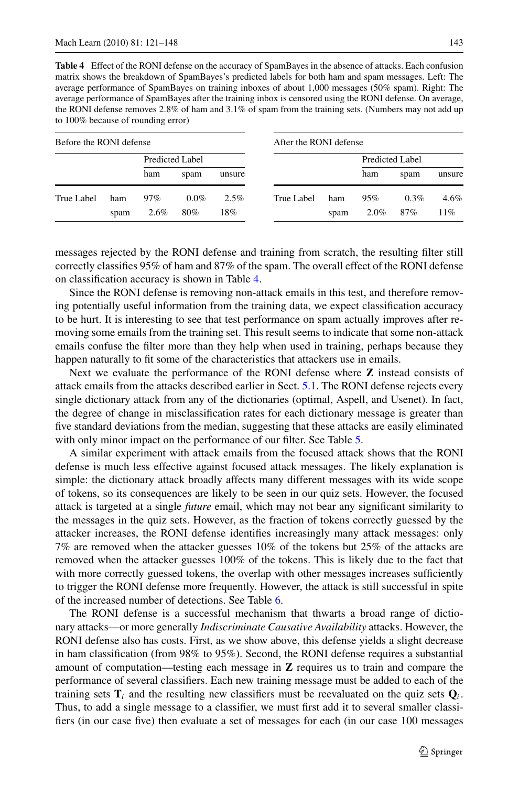<span id="page-22-0"></span>**Table 4** Effect of the RONI defense on the accuracy of SpamBayes in the absence of attacks. Each confusion matrix shows the breakdown of SpamBayes's predicted labels for both ham and spam messages. Left: The average performance of SpamBayes on training inboxes of about 1,000 messages (50% spam). Right: The average performance of SpamBayes after the training inbox is censored using the RONI defense. On average, the RONI defense removes 2*.*8% of ham and 3*.*1% of spam from the training sets. (Numbers may not add up to 100% because of rounding error)

| Before the RONI defense |      |                        |         |         | After the RONI defense |      |                 |      |         |
|-------------------------|------|------------------------|---------|---------|------------------------|------|-----------------|------|---------|
|                         |      | <b>Predicted Label</b> |         |         |                        |      | Predicted Label |      |         |
|                         |      | ham                    | spam    | unsure  |                        |      | ham             | spam | unsure  |
| True Label              | ham  | 97%                    | $0.0\%$ | $2.5\%$ | True Label             | ham  | 95%             | 0.3% | $4.6\%$ |
|                         | spam | 2.6%                   | 80%     | 18%     |                        | spam | $2.0\%$         | 87%  | 11%     |

messages rejected by the RONI defense and training from scratch, the resulting filter still correctly classifies 95% of ham and 87% of the spam. The overall effect of the RONI defense on classification accuracy is shown in Table [4](#page-22-0).

Since the RONI defense is removing non-attack emails in this test, and therefore removing potentially useful information from the training data, we expect classification accuracy to be hurt. It is interesting to see that test performance on spam actually improves after removing some emails from the training set. This result seems to indicate that some non-attack emails confuse the filter more than they help when used in training, perhaps because they happen naturally to fit some of the characteristics that attackers use in emails.

Next we evaluate the performance of the RONI defense where **Z** instead consists of attack emails from the attacks described earlier in Sect. [5.1.](#page-18-2) The RONI defense rejects every single dictionary attack from any of the dictionaries (optimal, Aspell, and Usenet). In fact, the degree of change in misclassification rates for each dictionary message is greater than five standard deviations from the median, suggesting that these attacks are easily eliminated with only minor impact on the performance of our filter. See Table [5.](#page-23-0)

A similar experiment with attack emails from the focused attack shows that the RONI defense is much less effective against focused attack messages. The likely explanation is simple: the dictionary attack broadly affects many different messages with its wide scope of tokens, so its consequences are likely to be seen in our quiz sets. However, the focused attack is targeted at a single *future* email, which may not bear any significant similarity to the messages in the quiz sets. However, as the fraction of tokens correctly guessed by the attacker increases, the RONI defense identifies increasingly many attack messages: only 7% are removed when the attacker guesses 10% of the tokens but 25% of the attacks are removed when the attacker guesses 100% of the tokens. This is likely due to the fact that with more correctly guessed tokens, the overlap with other messages increases sufficiently to trigger the RONI defense more frequently. However, the attack is still successful in spite of the increased number of detections. See Table [6.](#page-23-1)

The RONI defense is a successful mechanism that thwarts a broad range of dictionary attacks—or more generally *Indiscriminate Causative Availability* attacks. However, the RONI defense also has costs. First, as we show above, this defense yields a slight decrease in ham classification (from 98% to 95%). Second, the RONI defense requires a substantial amount of computation—testing each message in **Z** requires us to train and compare the performance of several classifiers. Each new training message must be added to each of the training sets  $\mathbf{T}_i$  and the resulting new classifiers must be reevaluated on the quiz sets  $\mathbf{Q}_i$ . Thus, to add a single message to a classifier, we must first add it to several smaller classifiers (in our case five) then evaluate a set of messages for each (in our case 100 messages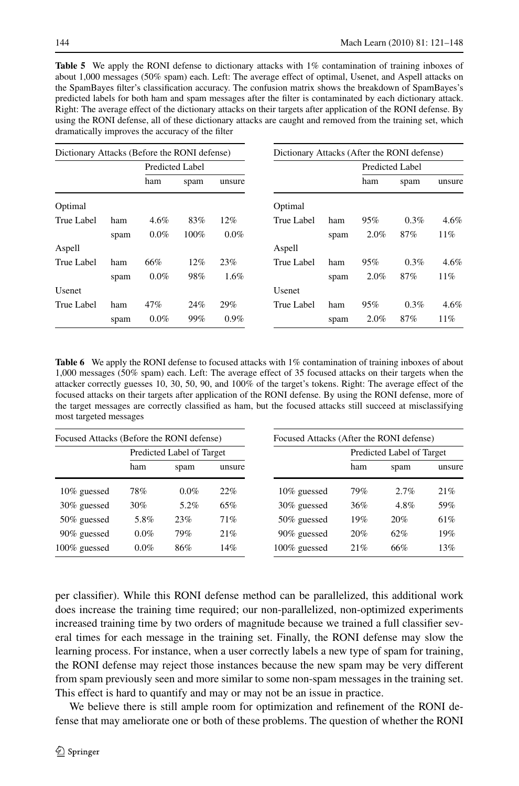<span id="page-23-0"></span>Table 5 We apply the RONI defense to dictionary attacks with 1% contamination of training inboxes of about 1,000 messages (50% spam) each. Left: The average effect of optimal, Usenet, and Aspell attacks on the SpamBayes filter's classification accuracy. The confusion matrix shows the breakdown of SpamBayes's predicted labels for both ham and spam messages after the filter is contaminated by each dictionary attack. Right: The average effect of the dictionary attacks on their targets after application of the RONI defense. By using the RONI defense, all of these dictionary attacks are caught and removed from the training set, which dramatically improves the accuracy of the filter

| Dictionary Attacks (Before the RONI defense) |      |                 |      |         | Dictionary Attacks (After the RONI defense) |      |                 |      |         |
|----------------------------------------------|------|-----------------|------|---------|---------------------------------------------|------|-----------------|------|---------|
|                                              |      | Predicted Label |      |         |                                             |      | Predicted Label |      |         |
|                                              |      | ham             | spam | unsure  |                                             |      | ham             | spam | unsure  |
| Optimal                                      |      |                 |      |         | Optimal                                     |      |                 |      |         |
| True Label                                   | ham  | 4.6%            | 83%  | 12%     | True Label                                  | ham  | 95%             | 0.3% | $4.6\%$ |
|                                              | spam | $0.0\%$         | 100% | $0.0\%$ |                                             | spam | 2.0%            | 87%  | 11%     |
| Aspell                                       |      |                 |      |         | Aspell                                      |      |                 |      |         |
| True Label                                   | ham  | 66%             | 12%  | 23%     | True Label                                  | ham  | 95%             | 0.3% | 4.6%    |
|                                              | spam | $0.0\%$         | 98%  | 1.6%    |                                             | spam | 2.0%            | 87%  | $11\%$  |
| Usenet                                       |      |                 |      |         | Usenet                                      |      |                 |      |         |
| True Label                                   | ham  | 47%             | 24%  | 29%     | True Label                                  | ham  | 95%             | 0.3% | $4.6\%$ |
|                                              | spam | $0.0\%$         | 99%  | 0.9%    |                                             | spam | 2.0%            | 87%  | 11%     |

<span id="page-23-1"></span>**Table 6** We apply the RONI defense to focused attacks with 1% contamination of training inboxes of about 1,000 messages (50% spam) each. Left: The average effect of 35 focused attacks on their targets when the attacker correctly guesses 10, 30, 50, 90, and 100% of the target's tokens. Right: The average effect of the focused attacks on their targets after application of the RONI defense. By using the RONI defense, more of the target messages are correctly classified as ham, but the focused attacks still succeed at misclassifying most targeted messages

| Focused Attacks (Before the RONI defense) |         |                           |        | Focused Attacks (After the RONI defense) |     |                           |        |
|-------------------------------------------|---------|---------------------------|--------|------------------------------------------|-----|---------------------------|--------|
|                                           |         | Predicted Label of Target |        |                                          |     | Predicted Label of Target |        |
|                                           | ham     | spam                      | unsure |                                          | ham | spam                      | unsure |
| 10% guessed                               | 78%     | $0.0\%$                   | 22%    | 10% guessed                              | 79% | 2.7%                      | 21%    |
| 30% guessed                               | 30%     | 5.2%                      | 65%    | 30% guessed                              | 36% | 4.8%                      | 59%    |
| 50% guessed                               | 5.8%    | 23%                       | 71%    | 50% guessed                              | 19% | 20%                       | 61%    |
| 90% guessed                               | 0.0%    | 79%                       | 21%    | 90% guessed                              | 20% | 62%                       | 19%    |
| $100\%$ guessed                           | $0.0\%$ | 86%                       | 14%    | 100% guessed                             | 21% | 66%                       | 13%    |

per classifier). While this RONI defense method can be parallelized, this additional work does increase the training time required; our non-parallelized, non-optimized experiments increased training time by two orders of magnitude because we trained a full classifier several times for each message in the training set. Finally, the RONI defense may slow the learning process. For instance, when a user correctly labels a new type of spam for training, the RONI defense may reject those instances because the new spam may be very different from spam previously seen and more similar to some non-spam messages in the training set. This effect is hard to quantify and may or may not be an issue in practice.

We believe there is still ample room for optimization and refinement of the RONI defense that may ameliorate one or both of these problems. The question of whether the RONI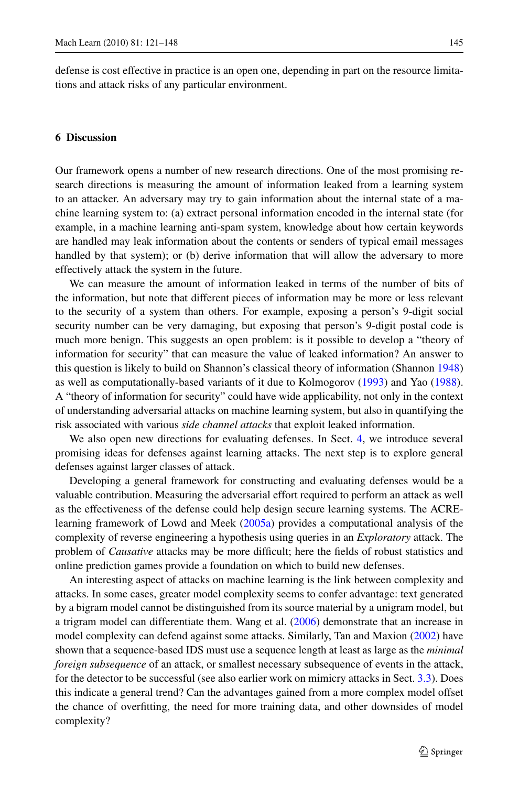defense is cost effective in practice is an open one, depending in part on the resource limitations and attack risks of any particular environment.

#### **6 Discussion**

Our framework opens a number of new research directions. One of the most promising research directions is measuring the amount of information leaked from a learning system to an attacker. An adversary may try to gain information about the internal state of a machine learning system to: (a) extract personal information encoded in the internal state (for example, in a machine learning anti-spam system, knowledge about how certain keywords are handled may leak information about the contents or senders of typical email messages handled by that system); or (b) derive information that will allow the adversary to more effectively attack the system in the future.

We can measure the amount of information leaked in terms of the number of bits of the information, but note that different pieces of information may be more or less relevant to the security of a system than others. For example, exposing a person's 9-digit social security number can be very damaging, but exposing that person's 9-digit postal code is much more benign. This suggests an open problem: is it possible to develop a "theory of information for security" that can measure the value of leaked information? An answer to this question is likely to build on Shannon's classical theory of information (Shannon [1948](#page-26-28)) as well as computationally-based variants of it due to Kolmogorov [\(1993](#page-26-29)) and Yao [\(1988](#page-27-3)). A "theory of information for security" could have wide applicability, not only in the context of understanding adversarial attacks on machine learning system, but also in quantifying the risk associated with various *side channel attacks* that exploit leaked information.

We also open new directions for evaluating defenses. In Sect. [4](#page-12-0), we introduce several promising ideas for defenses against learning attacks. The next step is to explore general defenses against larger classes of attack.

Developing a general framework for constructing and evaluating defenses would be a valuable contribution. Measuring the adversarial effort required to perform an attack as well as the effectiveness of the defense could help design secure learning systems. The ACRElearning framework of Lowd and Meek [\(2005a](#page-26-8)) provides a computational analysis of the complexity of reverse engineering a hypothesis using queries in an *Exploratory* attack. The problem of *Causative* attacks may be more difficult; here the fields of robust statistics and online prediction games provide a foundation on which to build new defenses.

An interesting aspect of attacks on machine learning is the link between complexity and attacks. In some cases, greater model complexity seems to confer advantage: text generated by a bigram model cannot be distinguished from its source material by a unigram model, but a trigram model can differentiate them. Wang et al. ([2006\)](#page-27-2) demonstrate that an increase in model complexity can defend against some attacks. Similarly, Tan and Maxion ([2002](#page-26-30)) have shown that a sequence-based IDS must use a sequence length at least as large as the *minimal foreign subsequence* of an attack, or smallest necessary subsequence of events in the attack, for the detector to be successful (see also earlier work on mimicry attacks in Sect. [3.3\)](#page-11-0). Does this indicate a general trend? Can the advantages gained from a more complex model offset the chance of overfitting, the need for more training data, and other downsides of model complexity?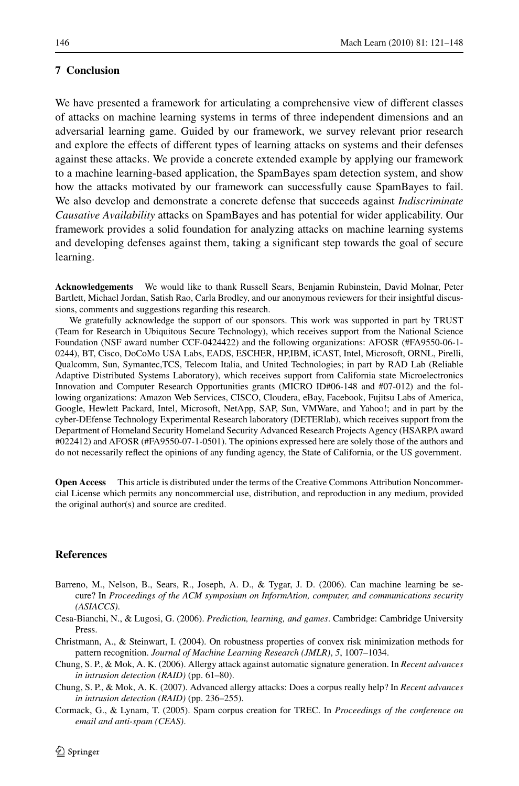#### **7 Conclusion**

We have presented a framework for articulating a comprehensive view of different classes of attacks on machine learning systems in terms of three independent dimensions and an adversarial learning game. Guided by our framework, we survey relevant prior research and explore the effects of different types of learning attacks on systems and their defenses against these attacks. We provide a concrete extended example by applying our framework to a machine learning-based application, the SpamBayes spam detection system, and show how the attacks motivated by our framework can successfully cause SpamBayes to fail. We also develop and demonstrate a concrete defense that succeeds against *Indiscriminate Causative Availability* attacks on SpamBayes and has potential for wider applicability. Our framework provides a solid foundation for analyzing attacks on machine learning systems and developing defenses against them, taking a significant step towards the goal of secure learning.

**Acknowledgements** We would like to thank Russell Sears, Benjamin Rubinstein, David Molnar, Peter Bartlett, Michael Jordan, Satish Rao, Carla Brodley, and our anonymous reviewers for their insightful discussions, comments and suggestions regarding this research.

We gratefully acknowledge the support of our sponsors. This work was supported in part by TRUST (Team for Research in Ubiquitous Secure Technology), which receives support from the National Science Foundation (NSF award number CCF-0424422) and the following organizations: AFOSR (#FA9550-06-1- 0244), BT, Cisco, DoCoMo USA Labs, EADS, ESCHER, HP,IBM, iCAST, Intel, Microsoft, ORNL, Pirelli, Qualcomm, Sun, Symantec,TCS, Telecom Italia, and United Technologies; in part by RAD Lab (Reliable Adaptive Distributed Systems Laboratory), which receives support from California state Microelectronics Innovation and Computer Research Opportunities grants (MICRO ID#06-148 and #07-012) and the following organizations: Amazon Web Services, CISCO, Cloudera, eBay, Facebook, Fujitsu Labs of America, Google, Hewlett Packard, Intel, Microsoft, NetApp, SAP, Sun, VMWare, and Yahoo!; and in part by the cyber-DEfense Technology Experimental Research laboratory (DETERlab), which receives support from the Department of Homeland Security Homeland Security Advanced Research Projects Agency (HSARPA award #022412) and AFOSR (#FA9550-07-1-0501). The opinions expressed here are solely those of the authors and do not necessarily reflect the opinions of any funding agency, the State of California, or the US government.

<span id="page-25-4"></span><span id="page-25-0"></span>**Open Access** This article is distributed under the terms of the Creative Commons Attribution Noncommercial License which permits any noncommercial use, distribution, and reproduction in any medium, provided the original author(s) and source are credited.

#### <span id="page-25-3"></span><span id="page-25-2"></span>**References**

- <span id="page-25-1"></span>Barreno, M., Nelson, B., Sears, R., Joseph, A. D., & Tygar, J. D. (2006). Can machine learning be secure? In *Proceedings of the ACM symposium on InformAtion, computer, and communications security (ASIACCS)*.
- <span id="page-25-5"></span>Cesa-Bianchi, N., & Lugosi, G. (2006). *Prediction, learning, and games*. Cambridge: Cambridge University Press.
- Christmann, A., & Steinwart, I. (2004). On robustness properties of convex risk minimization methods for pattern recognition. *Journal of Machine Learning Research (JMLR)*, *5*, 1007–1034.
- Chung, S. P., & Mok, A. K. (2006). Allergy attack against automatic signature generation. In *Recent advances in intrusion detection (RAID)* (pp. 61–80).
- Chung, S. P., & Mok, A. K. (2007). Advanced allergy attacks: Does a corpus really help? In *Recent advances in intrusion detection (RAID)* (pp. 236–255).
- Cormack, G., & Lynam, T. (2005). Spam corpus creation for TREC. In *Proceedings of the conference on email and anti-spam (CEAS)*.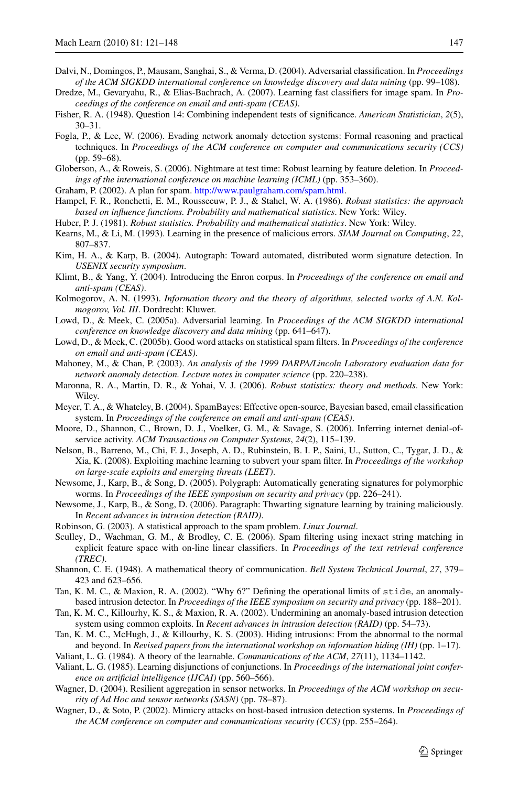- <span id="page-26-26"></span><span id="page-26-24"></span><span id="page-26-18"></span><span id="page-26-17"></span><span id="page-26-14"></span><span id="page-26-9"></span>Dalvi, N., Domingos, P., Mausam, Sanghai, S., & Verma, D. (2004). Adversarial classification. In *Proceedings of the ACM SIGKDD international conference on knowledge discovery and data mining* (pp. 99–108).
- <span id="page-26-20"></span>Dredze, M., Gevaryahu, R., & Elias-Bachrach, A. (2007). Learning fast classifiers for image spam. In *Proceedings of the conference on email and anti-spam (CEAS)*.
- <span id="page-26-19"></span><span id="page-26-0"></span>Fisher, R. A. (1948). Question 14: Combining independent tests of significance. *American Statistician*, *2*(5), 30–31.
- <span id="page-26-11"></span>Fogla, P., & Lee, W. (2006). Evading network anomaly detection systems: Formal reasoning and practical techniques. In *Proceedings of the ACM conference on computer and communications security (CCS)* (pp. 59–68).
- <span id="page-26-27"></span>Globerson, A., & Roweis, S. (2006). Nightmare at test time: Robust learning by feature deletion. In *Proceedings of the international conference on machine learning (ICML)* (pp. 353–360).
- <span id="page-26-29"></span>Graham, P. (2002). A plan for spam. [http://www.paulgraham.com/spam.html.](http://www.paulgraham.com/spam.html)
- <span id="page-26-8"></span>Hampel, F. R., Ronchetti, E. M., Rousseeuw, P. J., & Stahel, W. A. (1986). *Robust statistics: the approach based on influence functions. Probability and mathematical statistics*. New York: Wiley.
- Huber, P. J. (1981). *Robust statistics. Probability and mathematical statistics*. New York: Wiley.
- <span id="page-26-7"></span>Kearns, M., & Li, M. (1993). Learning in the presence of malicious errors. *SIAM Journal on Computing*, *22*, 807–837.
- <span id="page-26-15"></span>Kim, H. A., & Karp, B. (2004). Autograph: Toward automated, distributed worm signature detection. In *USENIX security symposium*.
- <span id="page-26-21"></span>Klimt, B., & Yang, Y. (2004). Introducing the Enron corpus. In *Proceedings of the conference on email and anti-spam (CEAS)*.
- <span id="page-26-25"></span>Kolmogorov, A. N. (1993). *Information theory and the theory of algorithms, selected works of A.N. Kolmogorov, Vol. III*. Dordrecht: Kluwer.
- <span id="page-26-6"></span>Lowd, D., & Meek, C. (2005a). Adversarial learning. In *Proceedings of the ACM SIGKDD international conference on knowledge discovery and data mining* (pp. 641–647).
- <span id="page-26-4"></span>Lowd, D., & Meek, C. (2005b). Good word attacks on statistical spam filters. In *Proceedings of the conference on email and anti-spam (CEAS)*.
- <span id="page-26-10"></span>Mahoney, M., & Chan, P. (2003). *An analysis of the 1999 DARPA/Lincoln Laboratory evaluation data for network anomaly detection. Lecture notes in computer science* (pp. 220–238).
- Maronna, R. A., Martin, D. R., & Yohai, V. J. (2006). *Robust statistics: theory and methods*. New York: Wiley.
- <span id="page-26-23"></span><span id="page-26-3"></span>Meyer, T. A., & Whateley, B. (2004). SpamBayes: Effective open-source, Bayesian based, email classification system. In *Proceedings of the conference on email and anti-spam (CEAS)*.
- <span id="page-26-16"></span>Moore, D., Shannon, C., Brown, D. J., Voelker, G. M., & Savage, S. (2006). Inferring internet denial-ofservice activity. *ACM Transactions on Computer Systems*, *24*(2), 115–139.
- <span id="page-26-28"></span>Nelson, B., Barreno, M., Chi, F. J., Joseph, A. D., Rubinstein, B. I. P., Saini, U., Sutton, C., Tygar, J. D., & Xia, K. (2008). Exploiting machine learning to subvert your spam filter. In *Proceedings of the workshop on large-scale exploits and emerging threats (LEET)*.
- <span id="page-26-30"></span>Newsome, J., Karp, B., & Song, D. (2005). Polygraph: Automatically generating signatures for polymorphic worms. In *Proceedings of the IEEE symposium on security and privacy* (pp. 226–241).
- <span id="page-26-5"></span>Newsome, J., Karp, B., & Song, D. (2006). Paragraph: Thwarting signature learning by training maliciously. In *Recent advances in intrusion detection (RAID)*.
- <span id="page-26-12"></span>Robinson, G. (2003). A statistical approach to the spam problem. *Linux Journal*.
- <span id="page-26-1"></span>Sculley, D., Wachman, G. M., & Brodley, C. E. (2006). Spam filtering using inexact string matching in explicit feature space with on-line linear classifiers. In *Proceedings of the text retrieval conference (TREC)*.
- <span id="page-26-22"></span><span id="page-26-2"></span>Shannon, C. E. (1948). A mathematical theory of communication. *Bell System Technical Journal*, *27*, 379– 423 and 623–656.
- Tan, K. M. C., & Maxion, R. A. (2002). "Why 6?" Defining the operational limits of stide, an anomalybased intrusion detector. In *Proceedings of the IEEE symposium on security and privacy* (pp. 188–201).
- <span id="page-26-13"></span>Tan, K. M. C., Killourhy, K. S., & Maxion, R. A. (2002). Undermining an anomaly-based intrusion detection system using common exploits. In *Recent advances in intrusion detection (RAID)* (pp. 54–73).
- Tan, K. M. C., McHugh, J., & Killourhy, K. S. (2003). Hiding intrusions: From the abnormal to the normal and beyond. In *Revised papers from the international workshop on information hiding (IH)* (pp. 1–17).
- Valiant, L. G. (1984). A theory of the learnable. *Communications of the ACM*, *27*(11), 1134–1142.
- Valiant, L. G. (1985). Learning disjunctions of conjunctions. In *Proceedings of the international joint conference on artificial intelligence (IJCAI)* (pp. 560–566).
- Wagner, D. (2004). Resilient aggregation in sensor networks. In *Proceedings of the ACM workshop on security of Ad Hoc and sensor networks (SASN)* (pp. 78–87).
- Wagner, D., & Soto, P. (2002). Mimicry attacks on host-based intrusion detection systems. In *Proceedings of the ACM conference on computer and communications security (CCS)* (pp. 255–264).